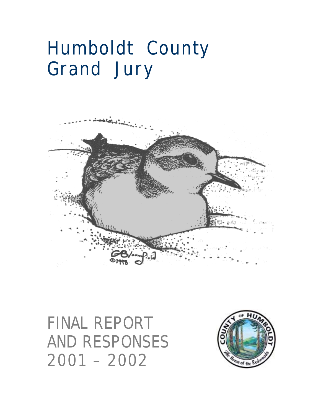# **Humboldt County Grand Jury**



# **FINAL REPORT AND RESPONSES 2001 – 2002**

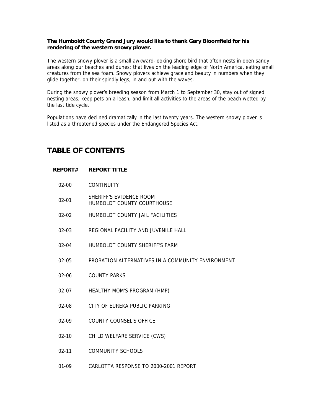#### **The Humboldt County Grand Jury would like to thank Gary Bloomfield for his rendering of the western snowy plover.**

The western snowy plover is a small awkward-looking shore bird that often nests in open sandy areas along our beaches and dunes; that lives on the leading edge of North America, eating small creatures from the sea foam. Snowy plovers achieve grace and beauty in numbers when they glide together, on their spindly legs, in and out with the waves.

During the snowy plover's breeding season from March 1 to September 30, stay out of signed nesting areas, keep pets on a leash, and limit all activities to the areas of the beach wetted by the last tide cycle.

Populations have declined dramatically in the last twenty years. The western snowy plover is listed as a threatened species under the Endangered Species Act.

| <b>REPORT#</b> | <b>REPORT TITLE</b>                                   |
|----------------|-------------------------------------------------------|
| $02 - 00$      | <b>CONTINUITY</b>                                     |
| $02 - 01$      | SHERIFF'S EVIDENCE ROOM<br>HUMBOLDT COUNTY COURTHOUSE |
| $02 - 02$      | HUMBOLDT COUNTY JAIL FACILITIES                       |
| $02 - 03$      | REGIONAL FACILITY AND JUVENILE HALL                   |
| $02 - 04$      | HUMBOLDT COUNTY SHERIFF'S FARM                        |
| $02 - 05$      | PROBATION ALTERNATIVES IN A COMMUNITY ENVIRONMENT     |
| $02 - 06$      | <b>COUNTY PARKS</b>                                   |
| $02 - 07$      | HEALTHY MOM'S PROGRAM (HMP)                           |
| $02-08$        | CITY OF FURFKA PUBLIC PARKING                         |
| 02-09          | <b>COUNTY COUNSEL'S OFFICE</b>                        |
| $02 - 10$      | CHILD WELFARE SERVICE (CWS)                           |
| $02 - 11$      | <b>COMMUNITY SCHOOLS</b>                              |
| $01 - 09$      | CARLOTTA RESPONSE TO 2000-2001 REPORT                 |

## **TABLE OF CONTENTS**

 $\mathbb{R}$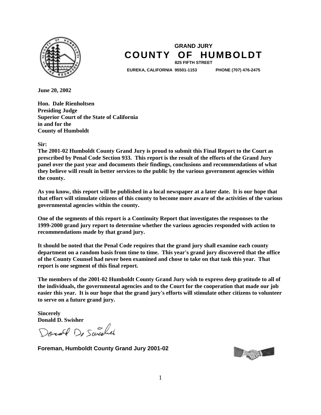

### **GRAND JURY COUNTY OF HUMBOLDT 825 FIFTH STREET**

**EUREKA, CALIFORNIA 95501-1153 PHONE (707) 476-2475** 

**June 20, 2002** 

**Hon. Dale Rienholtsen Presiding Judge Superior Court of the State of California in and for the County of Humboldt** 

#### **Sir:**

**The 2001-02 Humboldt County Grand Jury is proud to submit this Final Report to the Court as prescribed by Penal Code Section 933. This report is the result of the efforts of the Grand Jury panel over the past year and documents their findings, conclusions and recommendations of what they believe will result in better services to the public by the various government agencies within the county.** 

**As you know, this report will be published in a local newspaper at a later date. It is our hope that that effort will stimulate citizens of this county to become more aware of the activities of the various governmental agencies within the county.** 

**One of the segments of this report is a Continuity Report that investigates the responses to the 1999-2000 grand jury report to determine whether the various agencies responded with action to recommendations made by that grand jury.** 

**It should be noted that the Penal Code requires that the grand jury shall examine each county department on a random basis from time to time. This year's grand jury discovered that the office of the County Counsel had never been examined and chose to take on that task this year. That report is one segment of this final report.** 

**The members of the 2001-02 Humboldt County Grand Jury wish to express deep gratitude to all of the individuals, the governmental agencies and to the Court for the cooperation that made our job easier this year. It is our hope that the grand jury's efforts will stimulate other citizens to volunteer to serve on a future grand jury.** 

**Sincerely Donald D. Swisher** 

Donald De Sweekel

**Foreman, Humboldt County Grand Jury 2001-02**

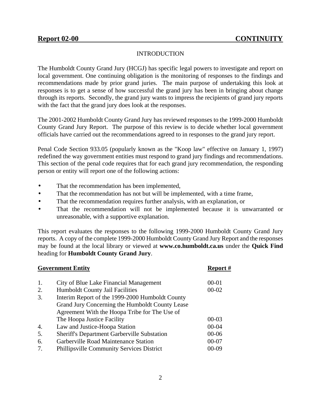### INTRODUCTION

<span id="page-3-0"></span>The Humboldt County Grand Jury (HCGJ) has specific legal powers to investigate and report on local government. One continuing obligation is the monitoring of responses to the findings and recommendations made by prior grand juries. The main purpose of undertaking this look at responses is to get a sense of how successful the grand jury has been in bringing about change through its reports. Secondly, the grand jury wants to impress the recipients of grand jury reports with the fact that the grand jury does look at the responses.

The 2001-2002 Humboldt County Grand Jury has reviewed responses to the 1999-2000 Humboldt County Grand Jury Report. The purpose of this review is to decide whether local government officials have carried out the recommendations agreed to in responses to the grand jury report.

Penal Code Section 933.05 (popularly known as the "Koop law" effective on January 1, 1997) redefined the way government entities must respond to grand jury findings and recommendations. This section of the penal code requires that for each grand jury recommendation, the responding person or entity will report one of the following actions:

- That the recommendation has been implemented,
- That the recommendation has not but will be implemented, with a time frame,
- That the recommendation requires further analysis, with an explanation, or
- That the recommendation will not be implemented because it is unwarranted or unreasonable, with a supportive explanation.

This report evaluates the responses to the following 1999-2000 Humboldt County Grand Jury reports. A copy of the complete 1999-2000 Humboldt County Grand Jury Report and the responses may be found at the local library or viewed at **www.co.humboldt.ca.us** under the **Quick Find** heading for **Humboldt County Grand Jury**.

| <b>Government Entity</b> | Report #                                           |           |  |  |
|--------------------------|----------------------------------------------------|-----------|--|--|
| 1.                       | City of Blue Lake Financial Management             | $00 - 01$ |  |  |
| 2.                       | <b>Humboldt County Jail Facilities</b>             | $00 - 02$ |  |  |
| 3.                       | Interim Report of the 1999-2000 Humboldt County    |           |  |  |
|                          | Grand Jury Concerning the Humboldt County Lease    |           |  |  |
|                          | Agreement With the Hoopa Tribe for The Use of      |           |  |  |
|                          | The Hoopa Justice Facility                         | $00 - 03$ |  |  |
| 4.                       | Law and Justice-Hoopa Station                      | $00 - 04$ |  |  |
| 5.                       | <b>Sheriff's Department Garberville Substation</b> | $00 - 06$ |  |  |
| 6.                       | Garberville Road Maintenance Station               | $00 - 07$ |  |  |
| $7_{\cdot}$              | <b>Phillipsville Community Services District</b>   | 00-09     |  |  |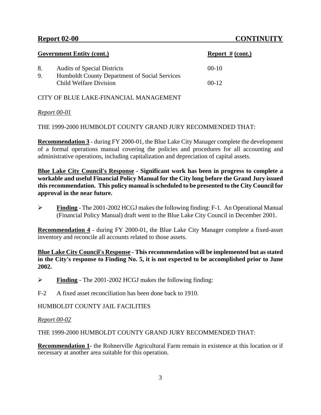|          | <b>Government Entity (cont.)</b>                                                    | <b>Report # (cont.)</b> |
|----------|-------------------------------------------------------------------------------------|-------------------------|
| 8.<br>9. | <b>Audits of Special Districts</b><br>Humboldt County Department of Social Services | $00-10$                 |
|          | Child Welfare Division                                                              | $00-12$                 |

CITY OF BLUE LAKE-FINANCIAL MANAGEMENT

### *Report 00-01*

THE 1999-2000 HUMBOLDT COUNTY GRAND JURY RECOMMENDED THAT:

**Recommendation 3** - during FY 2000-01, the Blue Lake City Manager complete the development of a formal operations manual covering the policies and procedures for all accounting and administrative operations, including capitalization and depreciation of capital assets.

**Blue Lake City Council's Response - Significant work has been in progress to complete a workable and useful Financial Policy Manual for the City long before the Grand Jury issued this recommendation. This policy manual is scheduled to be presented to the City Council for approval in the near future.**

! **Finding** - The 2001-2002 HCGJ makes the following finding: F-1. An Operational Manual (Financial Policy Manual) draft went to the Blue Lake City Council in December 2001.

**Recommendation 4** - during FY 2000-01, the Blue Lake City Manager complete a fixed-asset inventory and reconcile all accounts related to those assets.

**Blue Lake City Council's Response - This recommendation will be implemented but as stated in the City's response to Finding No. 5, it is not expected to be accomplished prior to June 2002.**

! **Finding** - The 2001-2002 HCGJ makes the following finding:

F-2 A fixed asset reconciliation has been done back to 1910.

### HUMBOLDT COUNTY JAIL FACILITIES

### *Report 00-02*

THE 1999-2000 HUMBOLDT COUNTY GRAND JURY RECOMMENDED THAT:

**Recommendation 1**- the Rohnerville Agricultural Farm remain in existence at this location or if necessary at another area suitable for this operation.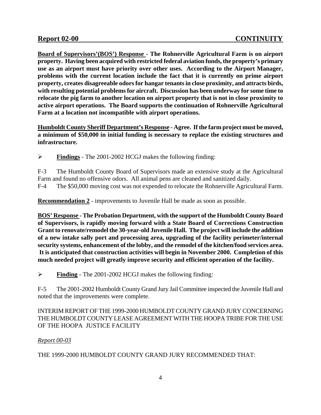**Board of Supervisors'(BOS') Response - The Rohnerville Agricultural Farm is on airport property. Having been acquired with restricted federal aviation funds, the property's primary use as an airport must have priority over other uses. According to the Airport Manager, problems with the current location include the fact that it is currently on prime airport property, creates disagreeable odors for hangar tenants in close proximity, and attracts birds, with resulting potential problems for aircraft. Discussion has been underway for some time to relocate the pig farm to another location on airport property that is not in close proximity to active airport operations. The Board supports the continuation of Rohnerville Agricultural Farm at a location not incompatible with airport operations.** 

**Humboldt County Sheriff Department's Response - Agree. If the farm project must be moved, a minimum of \$50,000 in initial funding is necessary to replace the existing structures and infrastructure.**

! **Findings** - The 2001-2002 HCGJ makes the following finding:

F-3 The Humboldt County Board of Supervisors made an extensive study at the Agricultural Farm and found no offensive odors. All animal pens are cleaned and sanitized daily.

F-4 The \$50,000 moving cost was not expended to relocate the Rohnerville Agricultural Farm.

**Recommendation 2** - improvements to Juvenile Hall be made as soon as possible.

**BOS' Response - The Probation Department, with the support of the Humboldt County Board of Supervisors, is rapidly moving forward with a State Board of Corrections Construction Grant to renovate/remodel the 30-year-old Juvenile Hall. The project will include the addition of a new intake sally port and processing area, upgrading of the facility perimeter/internal security systems, enhancement of the lobby, and the remodel of the kitchen/food services area. It is anticipated that construction activities will begin in November 2000. Completion of this much needed project will greatly improve security and efficient operation of the facility.**

! **Finding** - The 2001-2002 HCGJ makes the following finding:

F-5 The 2001-2002 Humboldt County Grand Jury Jail Committee inspected the Juvenile Hall and noted that the improvements were complete.

INTERIM REPORT OF THE 1999-2000 HUMBOLDT COUNTY GRAND JURY CONCERNING THE HUMBOLDT COUNTY LEASE AGREEMENT WITH THE HOOPA TRIBE FOR THE USE OF THE HOOPA JUSTICE FACILITY

### *Report 00-03*

THE 1999-2000 HUMBOLDT COUNTY GRAND JURY RECOMMENDED THAT: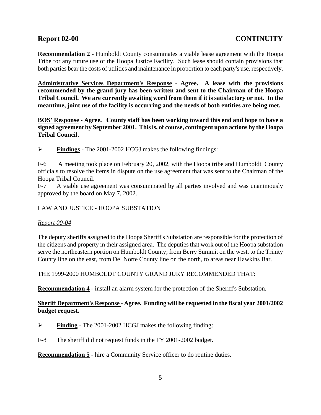**Recommendation 2** - Humboldt County consummates a viable lease agreement with the Hoopa Tribe for any future use of the Hoopa Justice Facility. Such lease should contain provisions that both parties bear the costs of utilities and maintenance in proportion to each party's use, respectively.

**Administrative Services Department's Response - Agree. A lease with the provisions recommended by the grand jury has been written and sent to the Chairman of the Hoopa Tribal Council. We are currently awaiting word from them if it is satisfactory or not. In the meantime, joint use of the facility is occurring and the needs of both entities are being met.** 

**BOS' Response - Agree. County staff has been working toward this end and hope to have a signed agreement by September 2001. This is, of course, contingent upon actions by the Hoopa Tribal Council.**

! **Findings** - The 2001-2002 HCGJ makes the following findings:

F-6 A meeting took place on February 20, 2002, with the Hoopa tribe and Humboldt County officials to resolve the items in dispute on the use agreement that was sent to the Chairman of the Hoopa Tribal Council.

F-7 A viable use agreement was consummated by all parties involved and was unanimously approved by the board on May 7, 2002.

### LAW AND JUSTICE - HOOPA SUBSTATION

### *Report 00-04*

The deputy sheriffs assigned to the Hoopa Sheriff's Substation are responsible for the protection of the citizens and property in their assigned area. The deputies that work out of the Hoopa substation serve the northeastern portion on Humboldt County; from Berry Summit on the west, to the Trinity County line on the east, from Del Norte County line on the north, to areas near Hawkins Bar.

THE 1999-2000 HUMBOLDT COUNTY GRAND JURY RECOMMENDED THAT:

**Recommendation 4** - install an alarm system for the protection of the Sheriff's Substation.

### **Sheriff Department's Response - Agree. Funding will be requested in the fiscal year 2001/2002 budget request.**

- ! **Finding** The 2001-2002 HCGJ makes the following finding:
- F-8 The sheriff did not request funds in the FY 2001-2002 budget.

**Recommendation 5** - hire a Community Service officer to do routine duties.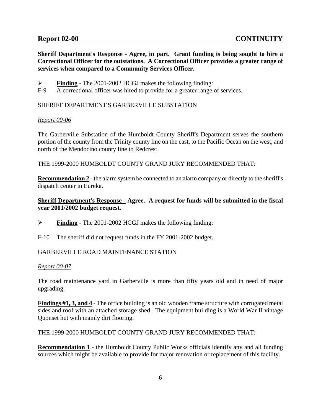**Sheriff Department's Response - Agree, in part. Grant funding is being sought to hire a Correctional Officer for the outstations. A Correctional Officer provides a greater range of services when compared to a Community Services Officer.**

- ! **Finding** The 2001-2002 HCGJ makes the following finding:
- F-9 A correctional officer was hired to provide for a greater range of services.

### SHERIFF DEPARTMENT'S GARBERVILLE SUBSTATION

### *Report 00-06*

The Garberville Substation of the Humboldt County Sheriff's Department serves the southern portion of the county from the Trinity county line on the east, to the Pacific Ocean on the west, and north of the Mendocino county line to Redcrest.

THE 1999-2000 HUMBOLDT COUNTY GRAND JURY RECOMMENDED THAT:

**Recommendation 2** - the alarm system be connected to an alarm company or directly to the sheriff's dispatch center in Eureka.

### **Sheriff Department's Response - Agree. A request for funds will be submitted in the fiscal year 2001/2002 budget request.**

- ! **Finding** The 2001-2002 HCGJ makes the following finding:
- F-10 The sheriff did not request funds in the FY 2001-2002 budget.

### GARBERVILLE ROAD MAINTENANCE STATION

### *Report 00-07*

The road maintenance yard in Garberville is more than fifty years old and in need of major upgrading.

**Findings #1, 3, and 4** - The office building is an old wooden frame structure with corrugated metal sides and roof with an attached storage shed. The equipment building is a World War II vintage Quonset hut with mainly dirt flooring.

THE 1999-2000 HUMBOLDT COUNTY GRAND JURY RECOMMENDED THAT:

**Recommendation 1** - the Humboldt County Public Works officials identify any and all funding sources which might be available to provide for major renovation or replacement of this facility.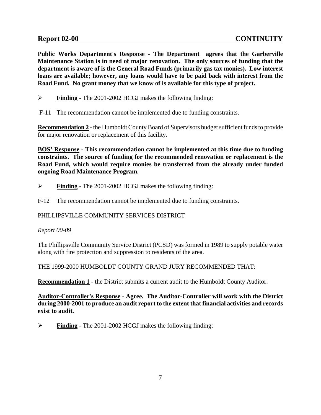**Public Works Department's Response - The Department agrees that the Garberville Maintenance Station is in need of major renovation. The only sources of funding that the department is aware of is the General Road Funds (primarily gas tax monies). Low interest loans are available; however, any loans would have to be paid back with interest from the Road Fund. No grant money that we know of is available for this type of project.** 

- ! **Finding -** The 2001-2002 HCGJ makes the following finding:
- F-11 The recommendation cannot be implemented due to funding constraints.

**Recommendation 2** - the Humboldt County Board of Supervisors budget sufficient funds to provide for major renovation or replacement of this facility.

**BOS' Response - This recommendation cannot be implemented at this time due to funding constraints. The source of funding for the recommended renovation or replacement is the Road Fund, which would require monies be transferred from the already under funded ongoing Road Maintenance Program.** 

- ! **Finding** The 2001-2002 HCGJ makes the following finding:
- F-12 The recommendation cannot be implemented due to funding constraints.

### PHILLIPSVILLE COMMUNITY SERVICES DISTRICT

### *Report 00-09*

The Phillipsville Community Service District (PCSD) was formed in 1989 to supply potable water along with fire protection and suppression to residents of the area.

THE 1999-2000 HUMBOLDT COUNTY GRAND JURY RECOMMENDED THAT:

**Recommendation 1** - the District submits a current audit to the Humboldt County Auditor.

**Auditor-Controller's Response - Agree. The Auditor-Controller will work with the District during 2000-2001 to produce an audit report to the extent that financial activities and records exist to audit.**

! **Finding** - The 2001-2002 HCGJ makes the following finding: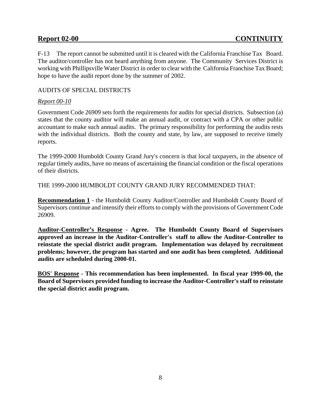F-13 The report cannot be submitted until it is cleared with the California Franchise Tax Board. The auditor/controller has not heard anything from anyone. The Community Services District is working with Phillipsville Water District in order to clear with the California Franchise Tax Board; hope to have the audit report done by the summer of 2002.

### AUDITS OF SPECIAL DISTRICTS

### *Report 00-10*

Government Code 26909 sets forth the requirements for audits for special districts. Subsection (a) states that the county auditor will make an annual audit, or contract with a CPA or other public accountant to make such annual audits. The primary responsibility for performing the audits rests with the individual districts. Both the county and state, by law, are supposed to receive timely reports.

The 1999-2000 Humboldt County Grand Jury's concern is that local taxpayers, in the absence of regular timely audits, have no means of ascertaining the financial condition or the fiscal operations of their districts.

THE 1999-2000 HUMBOLDT COUNTY GRAND JURY RECOMMENDED THAT:

**Recommendation 1** - the Humboldt County Auditor/Controller and Humboldt County Board of Supervisors continue and intensify their efforts to comply with the provisions of Government Code 26909.

**Auditor-Controller's Response - Agree. The Humboldt County Board of Supervisors approved an increase in the Auditor-Controller's staff to allow the Auditor-Controller to reinstate the special district audit program. Implementation was delayed by recruitment problems; however, the program has started and one audit has been completed. Additional audits are scheduled during 2000-01.**

**BOS' Response - This recommendation has been implemented. In fiscal year 1999-00, the Board of Supervisors provided funding to increase the Auditor-Controller's staff to reinstate the special district audit program.**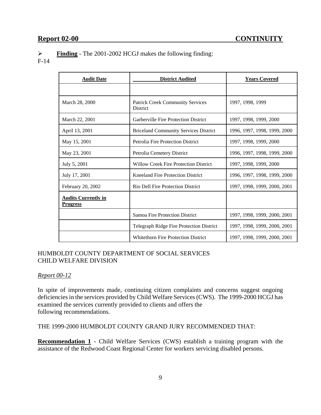! **Finding** - The 2001-2002 HCGJ makes the following finding:

F-14

| <b>Audit Date</b>                             | <b>District Audited</b>                                    | <b>Years Covered</b>         |
|-----------------------------------------------|------------------------------------------------------------|------------------------------|
|                                               |                                                            |                              |
| March 28, 2000                                | <b>Patrick Creek Community Services</b><br><b>District</b> | 1997, 1998, 1999             |
| March 22, 2001                                | Garberville Fire Protection District                       | 1997, 1998, 1999, 2000       |
| April 13, 2001                                | <b>Briceland Community Services District</b>               | 1996, 1997, 1998, 1999, 2000 |
| May 15, 2001                                  | <b>Petrolia Fire Protection District</b>                   | 1997, 1998, 1999, 2000       |
| May 23, 2001                                  | Petrolia Cemetery District                                 | 1996, 1997, 1998, 1999, 2000 |
| July 5, 2001                                  | <b>Willow Creek Fire Protection District</b>               | 1997, 1998, 1999, 2000       |
| July 17, 2001                                 | <b>Kneeland Fire Protection District</b>                   | 1996, 1997, 1998, 1999, 2000 |
| February 20, 2002                             | Rio Dell Fire Protection District                          | 1997, 1998, 1999, 2000, 2001 |
| <b>Audits Currently in</b><br><b>Progress</b> |                                                            |                              |
|                                               | <b>Samoa Fire Protection District</b>                      | 1997, 1998, 1999, 2000, 2001 |
|                                               | Telegraph Ridge Fire Protection District                   | 1997, 1998, 1999, 2000, 2001 |
|                                               | <b>Whitethorn Fire Protection District</b>                 | 1997, 1998, 1999, 2000, 2001 |

### HUMBOLDT COUNTY DEPARTMENT OF SOCIAL SERVICES CHILD WELFARE DIVISION

### *Report 00-12*

In spite of improvements made, continuing citizen complaints and concerns suggest ongoing deficiencies in the services provided by Child Welfare Services (CWS). The 1999-2000 HCGJ has examined the services currently provided to clients and offers the following recommendations.

THE 1999-2000 HUMBOLDT COUNTY GRAND JURY RECOMMENDED THAT:

**Recommendation 1** - Child Welfare Services (CWS) establish a training program with the assistance of the Redwood Coast Regional Center for workers servicing disabled persons.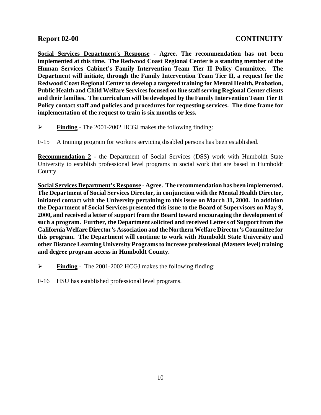**Social Services Department's Response - Agree. The recommendation has not been implemented at this time. The Redwood Coast Regional Center is a standing member of the Human Services Cabinet's Family Intervention Team Tier II Policy Committee. The Department will initiate, through the Family Intervention Team Tier II, a request for the Redwood Coast Regional Center to develop a targeted training for Mental Health, Probation, Public Health and Child Welfare Services focused on line staff serving Regional Center clients and their families. The curriculum will be developed by the Family Intervention Team Tier II Policy contact staff and policies and procedures for requesting services. The time frame for implementation of the request to train is six months or less.**

- ! **Finding** The 2001-2002 HCGJ makes the following finding:
- F-15 A training program for workers servicing disabled persons has been established.

**Recommendation 2** - the Department of Social Services (DSS) work with Humboldt State University to establish professional level programs in social work that are based in Humboldt County.

**Social Services Department's Response - Agree. The recommendation has been implemented. The Department of Social Services Director, in conjunction with the Mental Health Director, initiated contact with the University pertaining to this issue on March 31, 2000. In addition the Department of Social Services presented this issue to the Board of Supervisors on May 9, 2000, and received a letter of support from the Board toward encouraging the development of such a program. Further, the Department solicited and received Letters of Support from the California Welfare Director's Association and the Northern Welfare Director's Committee for this program. The Department will continue to work with Humboldt State University and other Distance Learning University Programs to increase professional (Masters level) training and degree program access in Humboldt County.**

! **Finding** - The 2001-2002 HCGJ makes the following finding:

F-16 HSU has established professional level programs.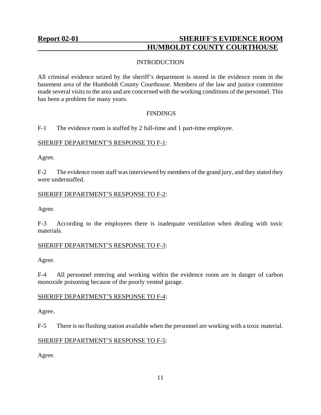### <span id="page-12-0"></span>**Report 02-01** SHERIFF'S EVIDENCE ROOM  **HUMBOLDT COUNTY COURTHOUSE**

### **INTRODUCTION**

All criminal evidence seized by the sheriff's department is stored in the evidence room in the basement area of the Humboldt County Courthouse. Members of the law and justice committee made several visits to the area and are concerned with the working conditions of the personnel. This has been a problem for many years.

### **FINDINGS**

F-1 The evidence room is staffed by 2 full-time and 1 part-time employee.

### SHERIFF DEPARTMENT'S RESPONSE TO F-1:

Agree.

F-2 The evidence room staff was interviewed by members of the grand jury, and they stated they were understaffed.

### SHERIFF DEPARTMENT'S RESPONSE TO F-2:

Agree.

F-3 According to the employees there is inadequate ventilation when dealing with toxic materials.

### SHERIFF DEPARTMENT'S RESPONSE TO F-3:

Agree.

F-4 All personnel entering and working within the evidence room are in danger of carbon monoxide poisoning because of the poorly vented garage.

### SHERIFF DEPARTMENT'S RESPONSE TO F-4:

Agree.

F-5 There is no flushing station available when the personnel are working with a toxic material.

### SHERIFF DEPARTMENT'S RESPONSE TO F-5:

Agree.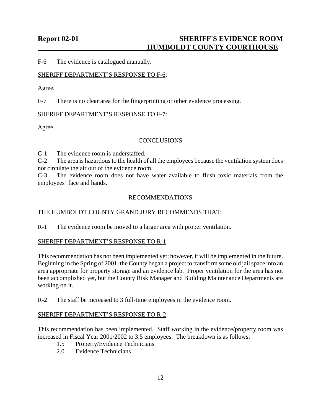### **Report 02-01** SHERIFF'S EVIDENCE ROOM  **HUMBOLDT COUNTY COURTHOUSE**

F-6 The evidence is catalogued manually.

### SHERIFF DEPARTMENT'S RESPONSE TO F-6:

Agree.

F-7 There is no clear area for the fingerprinting or other evidence processing.

### SHERIFF DEPARTMENT'S RESPONSE TO F-7:

Agree.

### **CONCLUSIONS**

C-1 The evidence room is understaffed.

C-2 The area is hazardous to the health of all the employees because the ventilation system does not circulate the air out of the evidence room.

C-3 The evidence room does not have water available to flush toxic materials from the employees' face and hands.

### RECOMMENDATIONS

### THE HUMBOLDT COUNTY GRAND JURY RECOMMENDS THAT:

R-1 The evidence room be moved to a larger area with proper ventilation.

### SHERIFF DEPARTMENT'S RESPONSE TO R-1:

This recommendation has not been implemented yet; however, it will be implemented in the future. Beginning in the Spring of 2001, the County began a project to transform some old jail space into an area appropriate for property storage and an evidence lab. Proper ventilation for the area has not been accomplished yet, but the County Risk Manager and Building Maintenance Departments are working on it.

R-2 The staff be increased to 3 full-time employees in the evidence room.

### SHERIFF DEPARTMENT'S RESPONSE TO R-2:

This recommendation has been implemented. Staff working in the evidence/property room was increased in Fiscal Year 2001/2002 to 3.5 employees. The breakdown is as follows:

- 1.5 Property/Evidence Technicians
- 2.0 Evidence Technicians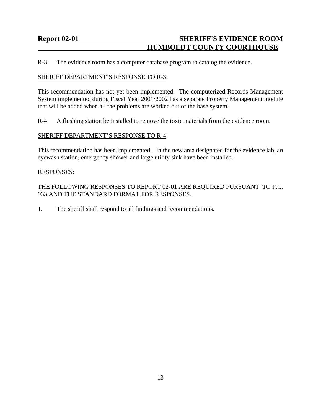### **Report 02-01** SHERIFF'S EVIDENCE ROOM  **HUMBOLDT COUNTY COURTHOUSE**

R-3 The evidence room has a computer database program to catalog the evidence.

### SHERIFF DEPARTMENT'S RESPONSE TO R-3:

This recommendation has not yet been implemented. The computerized Records Management System implemented during Fiscal Year 2001/2002 has a separate Property Management module that will be added when all the problems are worked out of the base system.

R-4 A flushing station be installed to remove the toxic materials from the evidence room.

### SHERIFF DEPARTMENT'S RESPONSE TO R-4:

This recommendation has been implemented. In the new area designated for the evidence lab, an eyewash station, emergency shower and large utility sink have been installed.

#### RESPONSES:

THE FOLLOWING RESPONSES TO REPORT 02-01 ARE REQUIRED PURSUANT TO P.C. 933 AND THE STANDARD FORMAT FOR RESPONSES.

1. The sheriff shall respond to all findings and recommendations.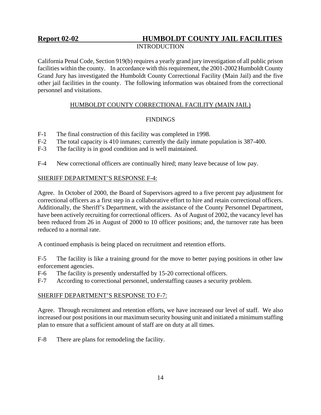### INTRODUCTION

<span id="page-15-0"></span>California Penal Code, Section 919(b) requires a yearly grand jury investigation of all public prison facilities within the county. In accordance with this requirement, the 2001-2002 Humboldt County Grand Jury has investigated the Humboldt County Correctional Facility (Main Jail) and the five other jail facilities in the county. The following information was obtained from the correctional personnel and visitations.

### HUMBOLDT COUNTY CORRECTIONAL FACILITY (MAIN JAIL)

### FINDINGS

- F-1 The final construction of this facility was completed in 1998.
- F-2 The total capacity is 410 inmates; currently the daily inmate population is 387-400.
- F-3 The facility is in good condition and is well maintained.
- F-4 New correctional officers are continually hired; many leave because of low pay.

### SHERIFF DEPARTMENT'S RESPONSE F-4:

Agree. In October of 2000, the Board of Supervisors agreed to a five percent pay adjustment for correctional officers as a first step in a collaborative effort to hire and retain correctional officers. Additionally, the Sheriff's Department, with the assistance of the County Personnel Department, have been actively recruiting for correctional officers. As of August of 2002, the vacancy level has been reduced from 26 in August of 2000 to 10 officer positions; and, the turnover rate has been reduced to a normal rate.

A continued emphasis is being placed on recruitment and retention efforts.

F-5 The facility is like a training ground for the move to better paying positions in other law enforcement agencies.

- F-6 The facility is presently understaffed by 15-20 correctional officers.
- F-7 According to correctional personnel, understaffing causes a security problem.

### SHERIFF DEPARTMENT'S RESPONSE TO F-7:

Agree. Through recruitment and retention efforts, we have increased our level of staff. We also increased our post positions in our maximum security housing unit and initiated a minimum staffing plan to ensure that a sufficient amount of staff are on duty at all times.

F-8 There are plans for remodeling the facility.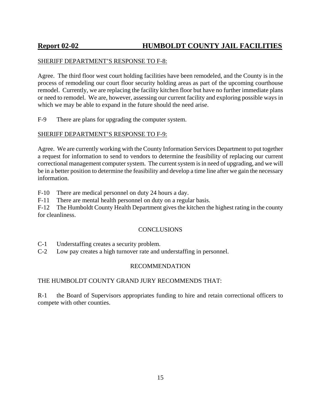### SHERIFF DEPARTMENT'S RESPONSE TO F-8:

Agree. The third floor west court holding facilities have been remodeled, and the County is in the process of remodeling our court floor security holding areas as part of the upcoming courthouse remodel. Currently, we are replacing the facility kitchen floor but have no further immediate plans or need to remodel. We are, however, assessing our current facility and exploring possible ways in which we may be able to expand in the future should the need arise.

F-9 There are plans for upgrading the computer system.

### SHERIFF DEPARTMENT'S RESPONSE TO F-9:

Agree. We are currently working with the County Information Services Department to put together a request for information to send to vendors to determine the feasibility of replacing our current correctional management computer system. The current system is in need of upgrading, and we will be in a better position to determine the feasibility and develop a time line after we gain the necessary information.

F-10 There are medical personnel on duty 24 hours a day.

F-11 There are mental health personnel on duty on a regular basis.

F-12 The Humboldt County Health Department gives the kitchen the highest rating in the county for cleanliness.

#### **CONCLUSIONS**

C-1 Understaffing creates a security problem.

C-2 Low pay creates a high turnover rate and understaffing in personnel.

#### RECOMMENDATION

### THE HUMBOLDT COUNTY GRAND JURY RECOMMENDS THAT:

R-1 the Board of Supervisors appropriates funding to hire and retain correctional officers to compete with other counties.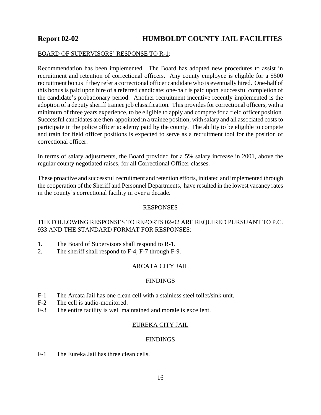### BOARD OF SUPERVISORS' RESPONSE TO R-1:

Recommendation has been implemented. The Board has adopted new procedures to assist in recruitment and retention of correctional officers. Any county employee is eligible for a \$500 recruitment bonus if they refer a correctional officer candidate who is eventually hired. One-half of this bonus is paid upon hire of a referred candidate; one-half is paid upon successful completion of the candidate's probationary period. Another recruitment incentive recently implemented is the adoption of a deputy sheriff trainee job classification. This provides for correctional officers, with a minimum of three years experience, to be eligible to apply and compete for a field officer position. Successful candidates are then appointed in a trainee position, with salary and all associated costs to participate in the police officer academy paid by the county. The ability to be eligible to compete and train for field officer positions is expected to serve as a recruitment tool for the position of correctional officer.

In terms of salary adjustments, the Board provided for a 5% salary increase in 2001, above the regular county negotiated raises, for all Correctional Officer classes.

These proactive and successful recruitment and retention efforts, initiated and implemented through the cooperation of the Sheriff and Personnel Departments, have resulted in the lowest vacancy rates in the county's correctional facility in over a decade.

### RESPONSES

### THE FOLLOWING RESPONSES TO REPORTS 02-02 ARE REQUIRED PURSUANT TO P.C. 933 AND THE STANDARD FORMAT FOR RESPONSES:

- 1. The Board of Supervisors shall respond to R-1.
- 2. The sheriff shall respond to F-4, F-7 through F-9.

### ARCATA CITY JAIL

#### **FINDINGS**

- F-1 The Arcata Jail has one clean cell with a stainless steel toilet/sink unit.
- F-2 The cell is audio-monitored.
- F-3 The entire facility is well maintained and morale is excellent.

### EUREKA CITY JAIL

#### FINDINGS

F-1 The Eureka Jail has three clean cells.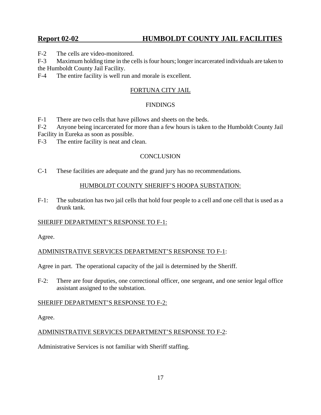F-2 The cells are video-monitored.

F-3 Maximum holding time in the cells is four hours; longer incarcerated individuals are taken to the Humboldt County Jail Facility.

F-4 The entire facility is well run and morale is excellent.

### FORTUNA CITY JAIL

### FINDINGS

F-1 There are two cells that have pillows and sheets on the beds.

F-2 Anyone being incarcerated for more than a few hours is taken to the Humboldt County Jail Facility in Eureka as soon as possible.

F-3 The entire facility is neat and clean.

### **CONCLUSION**

C-1 These facilities are adequate and the grand jury has no recommendations.

### HUMBOLDT COUNTY SHERIFF'S HOOPA SUBSTATION:

F-1: The substation has two jail cells that hold four people to a cell and one cell that is used as a drunk tank.

### SHERIFF DEPARTMENT'S RESPONSE TO F-1:

Agree.

ADMINISTRATIVE SERVICES DEPARTMENT'S RESPONSE TO F-1:

Agree in part. The operational capacity of the jail is determined by the Sheriff.

F-2: There are four deputies, one correctional officer, one sergeant, and one senior legal office assistant assigned to the substation.

#### SHERIFF DEPARTMENT'S RESPONSE TO F-2:

Agree.

### ADMINISTRATIVE SERVICES DEPARTMENT'S RESPONSE TO F-2:

Administrative Services is not familiar with Sheriff staffing.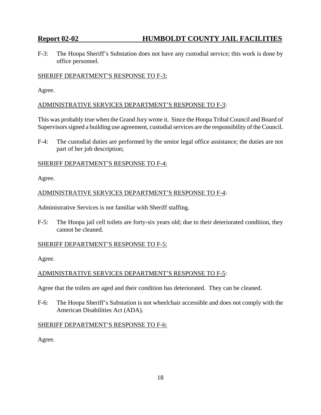F-3: The Hoopa Sheriff's Substation does not have any custodial service; this work is done by office personnel.

### SHERIFF DEPARTMENT'S RESPONSE TO F-3:

Agree.

### ADMINISTRATIVE SERVICES DEPARTMENT'S RESPONSE TO F-3:

This was probably true when the Grand Jury wrote it. Since the Hoopa Tribal Council and Board of Supervisors signed a building use agreement, custodial services are the responsibility of the Council.

F-4: The custodial duties are performed by the senior legal office assistance; the duties are not part of her job description;

### SHERIFF DEPARTMENT'S RESPONSE TO F-4:

Agree.

### ADMINISTRATIVE SERVICES DEPARTMENT'S RESPONSE TO F-4:

Administrative Services is not familiar with Sheriff staffing.

F-5: The Hoopa jail cell toilets are forty-six years old; due to their deteriorated condition, they cannot be cleaned.

### SHERIFF DEPARTMENT'S RESPONSE TO F-5:

Agree.

### ADMINISTRATIVE SERVICES DEPARTMENT'S RESPONSE TO F-5:

Agree that the toilets are aged and their condition has deteriorated. They can be cleaned.

F-6: The Hoopa Sheriff's Substation is not wheelchair accessible and does not comply with the American Disabilities Act (ADA).

#### SHERIFF DEPARTMENT'S RESPONSE TO F-6:

Agree.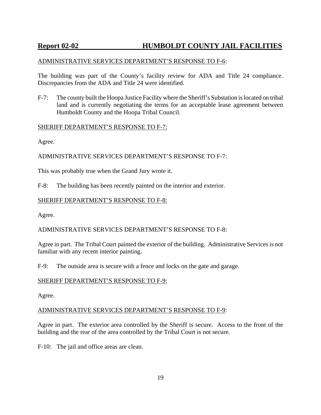### ADMINISTRATIVE SERVICES DEPARTMENT'S RESPONSE TO F-6:

The building was part of the County's facility review for ADA and Title 24 compliance. Discrepancies from the ADA and Title 24 were identified.

F-7: The county built the Hoopa Justice Facility where the Sheriff's Substation is located on tribal land and is currently negotiating the terms for an acceptable lease agreement between Humboldt County and the Hoopa Tribal Council.

### SHERIFF DEPARTMENT'S RESPONSE TO F-7:

Agree.

ADMINISTRATIVE SERVICES DEPARTMENT'S RESPONSE TO F-7:

This was probably true when the Grand Jury wrote it.

F-8: The building has been recently painted on the interior and exterior.

### SHERIFF DEPARTMENT'S RESPONSE TO F-8:

Agree.

### ADMINISTRATIVE SERVICES DEPARTMENT'S RESPONSE TO F-8:

Agree in part. The Tribal Court painted the exterior of the building. Administrative Services is not familiar with any recent interior painting.

F-9: The outside area is secure with a fence and locks on the gate and garage.

### SHERIFF DEPARTMENT'S RESPONSE TO F-9:

Agree.

### ADMINISTRATIVE SERVICES DEPARTMENT'S RESPONSE TO F-9:

Agree in part. The exterior area controlled by the Sheriff is secure. Access to the front of the building and the rear of the area controlled by the Tribal Court is not secure.

F-10: The jail and office areas are clean.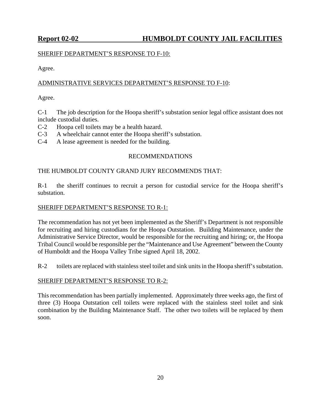### SHERIFF DEPARTMENT'S RESPONSE TO F-10:

Agree.

### ADMINISTRATIVE SERVICES DEPARTMENT'S RESPONSE TO F-10:

Agree.

C-1 The job description for the Hoopa sheriff's substation senior legal office assistant does not include custodial duties.

- C-2 Hoopa cell toilets may be a health hazard.
- C-3 A wheelchair cannot enter the Hoopa sheriff's substation.
- C-4 A lease agreement is needed for the building.

### RECOMMENDATIONS

### THE HUMBOLDT COUNTY GRAND JURY RECOMMENDS THAT:

R-1 the sheriff continues to recruit a person for custodial service for the Hoopa sheriff's substation.

### SHERIFF DEPARTMENT'S RESPONSE TO R-1:

The recommendation has not yet been implemented as the Sheriff's Department is not responsible for recruiting and hiring custodians for the Hoopa Outstation. Building Maintenance, under the Administrative Service Director, would be responsible for the recruiting and hiring; or, the Hoopa Tribal Council would be responsible per the "Maintenance and Use Agreement" between the County of Humboldt and the Hoopa Valley Tribe signed April 18, 2002.

R-2 toilets are replaced with stainless steel toilet and sink units in the Hoopa sheriff's substation.

### SHERIFF DEPARTMENT'S RESPONSE TO R-2:

This recommendation has been partially implemented. Approximately three weeks ago, the first of three (3) Hoopa Outstation cell toilets were replaced with the stainless steel toilet and sink combination by the Building Maintenance Staff. The other two toilets will be replaced by them soon.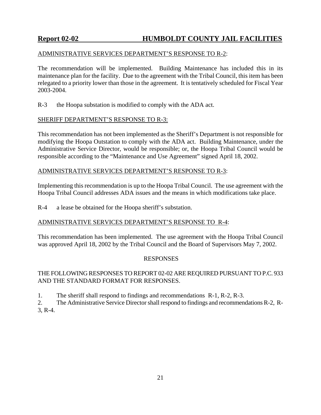### ADMINISTRATIVE SERVICES DEPARTMENT'S RESPONSE TO R-2:

The recommendation will be implemented. Building Maintenance has included this in its maintenance plan for the facility. Due to the agreement with the Tribal Council, this item has been relegated to a priority lower than those in the agreement. It is tentatively scheduled for Fiscal Year 2003-2004.

R-3 the Hoopa substation is modified to comply with the ADA act.

### SHERIFF DEPARTMENT'S RESPONSE TO R-3:

This recommendation has not been implemented as the Sheriff's Department is not responsible for modifying the Hoopa Outstation to comply with the ADA act. Building Maintenance, under the Administrative Service Director, would be responsible; or, the Hoopa Tribal Council would be responsible according to the "Maintenance and Use Agreement" signed April 18, 2002.

### ADMINISTRATIVE SERVICES DEPARTMENT'S RESPONSE TO R-3:

Implementing this recommendation is up to the Hoopa Tribal Council. The use agreement with the Hoopa Tribal Council addresses ADA issues and the means in which modifications take place.

R-4 a lease be obtained for the Hoopa sheriff's substation.

### ADMINISTRATIVE SERVICES DEPARTMENT'S RESPONSE TO R-4:

This recommendation has been implemented. The use agreement with the Hoopa Tribal Council was approved April 18, 2002 by the Tribal Council and the Board of Supervisors May 7, 2002.

#### RESPONSES

### THE FOLLOWING RESPONSES TO REPORT 02-02 ARE REQUIRED PURSUANT TO P.C. 933 AND THE STANDARD FORMAT FOR RESPONSES.

1. The sheriff shall respond to findings and recommendations R-1, R-2, R-3.

2. The Administrative Service Director shall respond to findings and recommendations R-2, R-3, R-4.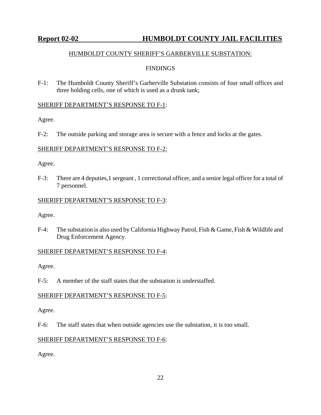### HUMBOLDT COUNTY SHERIFF'S GARBERVILLE SUBSTATION:

### **FINDINGS**

F-1: The Humboldt County Sheriff's Garberville Substation consists of four small offices and three holding cells, one of which is used as a drunk tank;

### SHERIFF DEPARTMENT'S RESPONSE TO F-1:

Agree.

F-2: The outside parking and storage area is secure with a fence and locks at the gates.

### SHERIFF DEPARTMENT'S RESPONSE TO F-2:

Agree.

F-3: There are 4 deputies,1 sergeant , 1 correctional officer, and a senior legal officer for a total of 7 personnel.

### SHERIFF DEPARTMENT'S RESPONSE TO F-3:

Agree.

F-4: The substation is also used by California Highway Patrol, Fish & Game, Fish & Wildlife and Drug Enforcement Agency.

### SHERIFF DEPARTMENT'S RESPONSE TO F-4:

Agree.

F-5: A member of the staff states that the substation is understaffed.

### SHERIFF DEPARTMENT'S RESPONSE TO F-5:

Agree.

F-6: The staff states that when outside agencies use the substation, it is too small.

### SHERIFF DEPARTMENT'S RESPONSE TO F-6:

Agree.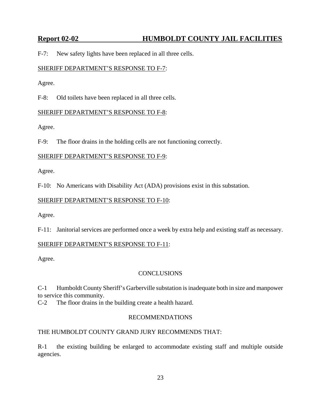F-7: New safety lights have been replaced in all three cells.

### SHERIFF DEPARTMENT'S RESPONSE TO F-7:

Agree.

F-8: Old toilets have been replaced in all three cells.

### SHERIFF DEPARTMENT'S RESPONSE TO F-8:

Agree.

F-9: The floor drains in the holding cells are not functioning correctly.

### SHERIFF DEPARTMENT'S RESPONSE TO F-9:

Agree.

F-10: No Americans with Disability Act (ADA) provisions exist in this substation.

### SHERIFF DEPARTMENT'S RESPONSE TO F-10:

Agree.

F-11: Janitorial services are performed once a week by extra help and existing staff as necessary.

### SHERIFF DEPARTMENT'S RESPONSE TO F-11:

Agree.

### **CONCLUSIONS**

C-1 Humboldt County Sheriff's Garberville substation is inadequate both in size and manpower to service this community.

C-2 The floor drains in the building create a health hazard.

### RECOMMENDATIONS

### THE HUMBOLDT COUNTY GRAND JURY RECOMMENDS THAT:

R-1 the existing building be enlarged to accommodate existing staff and multiple outside agencies.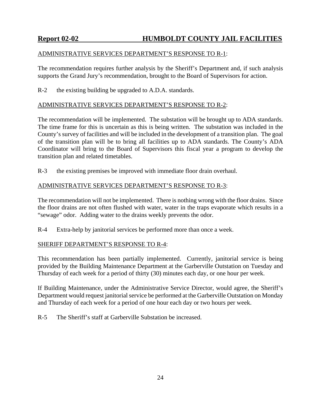### ADMINISTRATIVE SERVICES DEPARTMENT'S RESPONSE TO R-1:

The recommendation requires further analysis by the Sheriff's Department and, if such analysis supports the Grand Jury's recommendation, brought to the Board of Supervisors for action.

R-2 the existing building be upgraded to A.D.A. standards.

### ADMINISTRATIVE SERVICES DEPARTMENT'S RESPONSE TO R-2:

The recommendation will be implemented. The substation will be brought up to ADA standards. The time frame for this is uncertain as this is being written. The substation was included in the County's survey of facilities and will be included in the development of a transition plan. The goal of the transition plan will be to bring all facilities up to ADA standards. The County's ADA Coordinator will bring to the Board of Supervisors this fiscal year a program to develop the transition plan and related timetables.

R-3 the existing premises be improved with immediate floor drain overhaul.

### ADMINISTRATIVE SERVICES DEPARTMENT'S RESPONSE TO R-3:

The recommendation will not be implemented. There is nothing wrong with the floor drains. Since the floor drains are not often flushed with water, water in the traps evaporate which results in a "sewage" odor. Adding water to the drains weekly prevents the odor.

R-4 Extra-help by janitorial services be performed more than once a week.

### SHERIFF DEPARTMENT'S RESPONSE TO R-4:

This recommendation has been partially implemented. Currently, janitorial service is being provided by the Building Maintenance Department at the Garberville Outstation on Tuesday and Thursday of each week for a period of thirty (30) minutes each day, or one hour per week.

If Building Maintenance, under the Administrative Service Director, would agree, the Sheriff's Department would request janitorial service be performed at the Garberville Outstation on Monday and Thursday of each week for a period of one hour each day or two hours per week.

R-5 The Sheriff's staff at Garberville Substation be increased.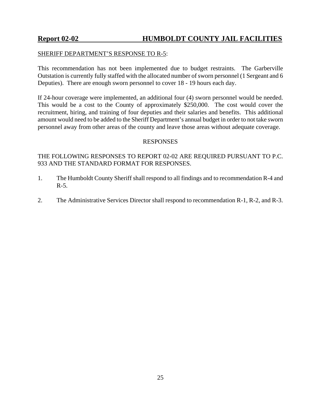### SHERIFF DEPARTMENT'S RESPONSE TO R-5:

This recommendation has not been implemented due to budget restraints. The Garberville Outstation is currently fully staffed with the allocated number of sworn personnel (1 Sergeant and 6 Deputies). There are enough sworn personnel to cover 18 - 19 hours each day.

If 24-hour coverage were implemented, an additional four (4) sworn personnel would be needed. This would be a cost to the County of approximately \$250,000. The cost would cover the recruitment, hiring, and training of four deputies and their salaries and benefits. This additional amount would need to be added to the Sheriff Department's annual budget in order to not take sworn personnel away from other areas of the county and leave those areas without adequate coverage.

### RESPONSES

THE FOLLOWING RESPONSES TO REPORT 02-02 ARE REQUIRED PURSUANT TO P.C. 933 AND THE STANDARD FORMAT FOR RESPONSES.

- 1. The Humboldt County Sheriff shall respond to all findings and to recommendation R-4 and  $R-5$ .
- 2. The Administrative Services Director shall respond to recommendation R-1, R-2, and R-3.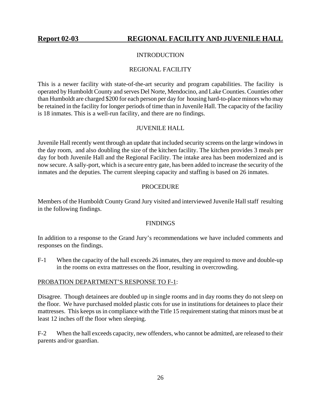### **INTRODUCTION**

### REGIONAL FACILITY

<span id="page-27-0"></span>This is a newer facility with state-of-the-art security and program capabilities. The facility is operated by Humboldt County and serves Del Norte, Mendocino, and Lake Counties. Counties other than Humboldt are charged \$200 for each person per day for housing hard-to-place minors who may be retained in the facility for longer periods of time than in Juvenile Hall. The capacity of the facility is 18 inmates. This is a well-run facility, and there are no findings.

### JUVENILE HALL

Juvenile Hall recently went through an update that included security screens on the large windows in the day room, and also doubling the size of the kitchen facility. The kitchen provides 3 meals per day for both Juvenile Hall and the Regional Facility. The intake area has been modernized and is now secure. A sally-port, which is a secure entry gate, has been added to increase the security of the inmates and the deputies. The current sleeping capacity and staffing is based on 26 inmates.

### PROCEDURE

Members of the Humboldt County Grand Jury visited and interviewed Juvenile Hall staff resulting in the following findings.

#### **FINDINGS**

In addition to a response to the Grand Jury's recommendations we have included comments and responses on the findings.

F-1 When the capacity of the hall exceeds 26 inmates, they are required to move and double-up in the rooms on extra mattresses on the floor, resulting in overcrowding.

#### PROBATION DEPARTMENT'S RESPONSE TO F-1:

Disagree. Though detainees are doubled up in single rooms and in day rooms they do not sleep on the floor. We have purchased molded plastic cots for use in institutions for detainees to place their mattresses. This keeps us in compliance with the Title 15 requirement stating that minors must be at least 12 inches off the floor when sleeping.

F-2 When the hall exceeds capacity, new offenders, who cannot be admitted, are released to their parents and/or guardian.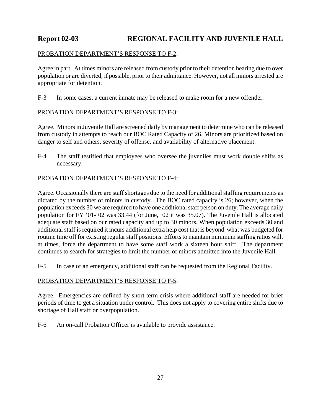### PROBATION DEPARTMENT'S RESPONSE TO F-2:

Agree in part. At times minors are released from custody prior to their detention hearing due to over population or are diverted, if possible, prior to their admittance. However, not all minors arrested are appropriate for detention.

F-3 In some cases, a current inmate may be released to make room for a new offender.

### PROBATION DEPARTMENT'S RESPONSE TO F-3:

Agree. Minors in Juvenile Hall are screened daily by management to determine who can be released from custody in attempts to reach our BOC Rated Capacity of 26. Minors are prioritized based on danger to self and others, severity of offense, and availability of alternative placement.

F-4 The staff testified that employees who oversee the juveniles must work double shifts as necessary.

### PROBATION DEPARTMENT'S RESPONSE TO F-4:

Agree. Occasionally there are staff shortages due to the need for additional staffing requirements as dictated by the number of minors in custody. The BOC rated capacity is 26; however, when the population exceeds 30 we are required to have one additional staff person on duty. The average daily population for FY '01-'02 was 33.44 (for June, '02 it was 35.07). The Juvenile Hall is allocated adequate staff based on our rated capacity and up to 30 minors. When population exceeds 30 and additional staff is required it incurs additional extra help cost that is beyond what was budgeted for routine time off for existing regular staff positions. Efforts to maintain minimum staffing ratios will, at times, force the department to have some staff work a sixteen hour shift. The department continues to search for strategies to limit the number of minors admitted into the Juvenile Hall.

F-5 In case of an emergency, additional staff can be requested from the Regional Facility.

### PROBATION DEPARTMENT'S RESPONSE TO F-5:

Agree. Emergencies are defined by short term crisis where additional staff are needed for brief periods of time to get a situation under control. This does not apply to covering entire shifts due to shortage of Hall staff or overpopulation.

F-6 An on-call Probation Officer is available to provide assistance.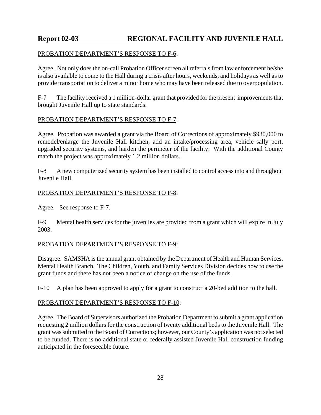### PROBATION DEPARTMENT'S RESPONSE TO F-6:

Agree. Not only does the on-call Probation Officer screen all referrals from law enforcement he/she is also available to come to the Hall during a crisis after hours, weekends, and holidays as well as to provide transportation to deliver a minor home who may have been released due to overpopulation.

F-7 The facility received a 1 million-dollar grant that provided for the present improvements that brought Juvenile Hall up to state standards.

### PROBATION DEPARTMENT'S RESPONSE TO F-7:

Agree. Probation was awarded a grant via the Board of Corrections of approximately \$930,000 to remodel/enlarge the Juvenile Hall kitchen, add an intake/processing area, vehicle sally port, upgraded security systems, and harden the perimeter of the facility. With the additional County match the project was approximately 1.2 million dollars.

F-8 A new computerized security system has been installed to control access into and throughout Juvenile Hall.

### PROBATION DEPARTMENT'S RESPONSE TO F-8:

Agree. See response to F-7.

F-9 Mental health services for the juveniles are provided from a grant which will expire in July 2003.

### PROBATION DEPARTMENT'S RESPONSE TO F-9:

Disagree. SAMSHA is the annual grant obtained by the Department of Health and Human Services, Mental Health Branch. The Children, Youth, and Family Services Division decides how to use the grant funds and there has not been a notice of change on the use of the funds.

F-10 A plan has been approved to apply for a grant to construct a 20-bed addition to the hall.

### PROBATION DEPARTMENT'S RESPONSE TO F-10:

Agree. The Board of Supervisors authorized the Probation Department to submit a grant application requesting 2 million dollars for the construction of twenty additional beds to the Juvenile Hall. The grant was submitted to the Board of Corrections; however, our County's application was not selected to be funded. There is no additional state or federally assisted Juvenile Hall construction funding anticipated in the foreseeable future.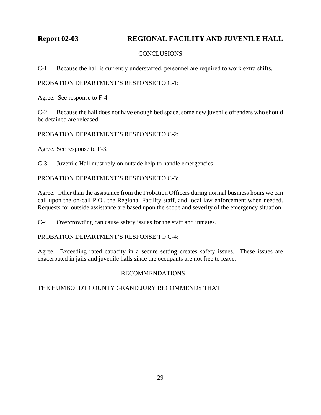### CONCLUSIONS

C-1 Because the hall is currently understaffed, personnel are required to work extra shifts.

### PROBATION DEPARTMENT'S RESPONSE TO C-1:

Agree. See response to F-4.

C-2 Because the hall does not have enough bed space, some new juvenile offenders who should be detained are released.

### PROBATION DEPARTMENT'S RESPONSE TO C-2:

Agree. See response to F-3.

C-3 Juvenile Hall must rely on outside help to handle emergencies.

### PROBATION DEPARTMENT'S RESPONSE TO C-3:

Agree. Other than the assistance from the Probation Officers during normal business hours we can call upon the on-call P.O., the Regional Facility staff, and local law enforcement when needed. Requests for outside assistance are based upon the scope and severity of the emergency situation.

C-4 Overcrowding can cause safety issues for the staff and inmates.

### PROBATION DEPARTMENT'S RESPONSE TO C-4:

Agree. Exceeding rated capacity in a secure setting creates safety issues. These issues are exacerbated in jails and juvenile halls since the occupants are not free to leave.

### RECOMMENDATIONS

THE HUMBOLDT COUNTY GRAND JURY RECOMMENDS THAT: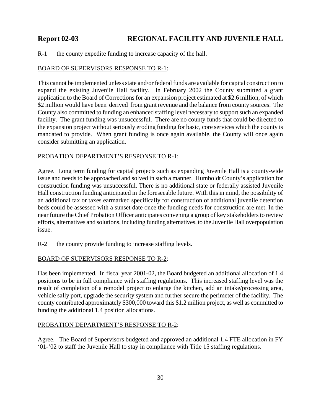R-1 the county expedite funding to increase capacity of the hall.

### BOARD OF SUPERVISORS RESPONSE TO R-1:

This cannot be implemented unless state and/or federal funds are available for capital construction to expand the existing Juvenile Hall facility. In February 2002 the County submitted a grant application to the Board of Corrections for an expansion project estimated at \$2.6 million, of which \$2 million would have been derived from grant revenue and the balance from county sources. The County also committed to funding an enhanced staffing level necessary to support such an expanded facility. The grant funding was unsuccessful. There are no county funds that could be directed to the expansion project without seriously eroding funding for basic, core services which the county is mandated to provide. When grant funding is once again available, the County will once again consider submitting an application.

### PROBATION DEPARTMENT'S RESPONSE TO R-1:

Agree. Long term funding for capital projects such as expanding Juvenile Hall is a county-wide issue and needs to be approached and solved in such a manner. Humboldt County's application for construction funding was unsuccessful. There is no additional state or federally assisted Juvenile Hall construction funding anticipated in the foreseeable future. With this in mind, the possibility of an additional tax or taxes earmarked specifically for construction of additional juvenile detention beds could be assessed with a sunset date once the funding needs for construction are met. In the near future the Chief Probation Officer anticipates convening a group of key stakeholders to review efforts, alternatives and solutions, including funding alternatives, to the Juvenile Hall overpopulation issue.

R-2 the county provide funding to increase staffing levels.

### BOARD OF SUPERVISORS RESPONSE TO R-2:

Has been implemented. In fiscal year 2001-02, the Board budgeted an additional allocation of 1.4 positions to be in full compliance with staffing regulations. This increased staffing level was the result of completion of a remodel project to enlarge the kitchen, add an intake/processing area, vehicle sally port, upgrade the security system and further secure the perimeter of the facility. The county contributed approximately \$300,000 toward this \$1.2 million project, as well as committed to funding the additional 1.4 position allocations.

#### PROBATION DEPARTMENT'S RESPONSE TO R-2:

Agree. The Board of Supervisors budgeted and approved an additional 1.4 FTE allocation in FY '01-'02 to staff the Juvenile Hall to stay in compliance with Title 15 staffing regulations.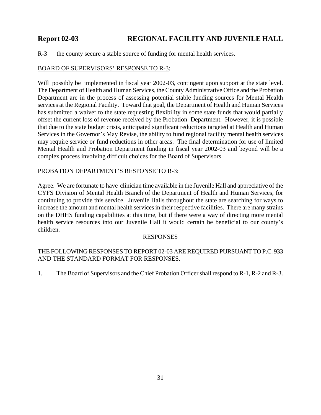R-3 the county secure a stable source of funding for mental health services.

### BOARD OF SUPERVISORS' RESPONSE TO R-3:

Will possibly be implemented in fiscal year 2002-03, contingent upon support at the state level. The Department of Health and Human Services, the County Administrative Office and the Probation Department are in the process of assessing potential stable funding sources for Mental Health services at the Regional Facility. Toward that goal, the Department of Health and Human Services has submitted a waiver to the state requesting flexibility in some state funds that would partially offset the current loss of revenue received by the Probation Department. However, it is possible that due to the state budget crisis, anticipated significant reductions targeted at Health and Human Services in the Governor's May Revise, the ability to fund regional facility mental health services may require service or fund reductions in other areas. The final determination for use of limited Mental Health and Probation Department funding in fiscal year 2002-03 and beyond will be a complex process involving difficult choices for the Board of Supervisors.

### PROBATION DEPARTMENT'S RESPONSE TO R-3:

Agree. We are fortunate to have clinician time available in the Juvenile Hall and appreciative of the CYFS Division of Mental Health Branch of the Department of Health and Human Services, for continuing to provide this service. Juvenile Halls throughout the state are searching for ways to increase the amount and mental health services in their respective facilities. There are many strains on the DHHS funding capabilities at this time, but if there were a way of directing more mental health service resources into our Juvenile Hall it would certain be beneficial to our county's children.

### RESPONSES

### THE FOLLOWING RESPONSES TO REPORT 02-03 ARE REQUIRED PURSUANT TO P.C. 933 AND THE STANDARD FORMAT FOR RESPONSES.

1. The Board of Supervisors and the Chief Probation Officer shall respond to R-1, R-2 and R-3.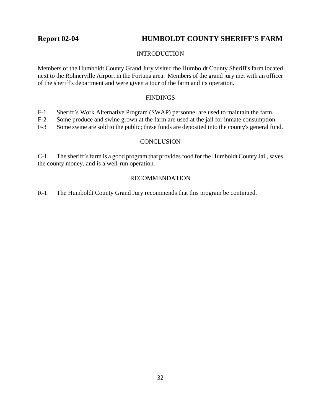### <span id="page-33-0"></span>**Report 02-04****HUMBOLDT COUNTY SHERIFF'S FARM**

### INTRODUCTION

Members of the Humboldt County Grand Jury visited the Humboldt County Sheriff's farm located next to the Rohnerville Airport in the Fortuna area. Members of the grand jury met with an officer of the sheriff's department and were given a tour of the farm and its operation.

### FINDINGS

- F-1 Sheriff's Work Alternative Program (SWAP) personnel are used to maintain the farm.
- F-2 Some produce and swine grown at the farm are used at the jail for inmate consumption.
- F-3 Some swine are sold to the public; these funds are deposited into the county's general fund.

### **CONCLUSION**

C-1 The sheriff's farm is a good program that provides food for the Humboldt County Jail, saves the county money, and is a well-run operation.

### RECOMMENDATION

R-1 The Humboldt County Grand Jury recommends that this program be continued.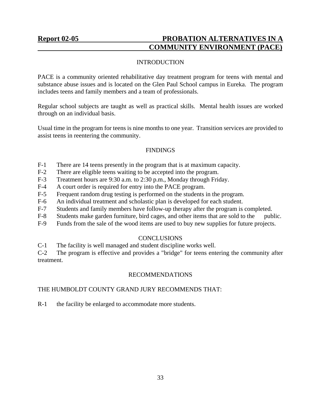### <span id="page-34-0"></span>Report 02-05 **PROBATION ALTERNATIVES IN A COMMUNITY ENVIRONMENT (PACE)**

### INTRODUCTION

PACE is a community oriented rehabilitative day treatment program for teens with mental and substance abuse issues and is located on the Glen Paul School campus in Eureka. The program includes teens and family members and a team of professionals.

Regular school subjects are taught as well as practical skills. Mental health issues are worked through on an individual basis.

Usual time in the program for teens is nine months to one year. Transition services are provided to assist teens in reentering the community.

### **FINDINGS**

- F-1 There are 14 teens presently in the program that is at maximum capacity.
- F-2 There are eligible teens waiting to be accepted into the program.
- F-3 Treatment hours are 9:30 a.m. to 2:30 p.m., Monday through Friday.
- F-4 A court order is required for entry into the PACE program.
- F-5 Frequent random drug testing is performed on the students in the program.
- F-6 An individual treatment and scholastic plan is developed for each student.
- F-7 Students and family members have follow-up therapy after the program is completed.
- F-8 Students make garden furniture, bird cages, and other items that are sold to the public.
- F-9 Funds from the sale of the wood items are used to buy new supplies for future projects.

### **CONCLUSIONS**

C-1 The facility is well managed and student discipline works well.

C-2 The program is effective and provides a "bridge" for teens entering the community after treatment.

### RECOMMENDATIONS

### THE HUMBOLDT COUNTY GRAND JURY RECOMMENDS THAT:

R-1 the facility be enlarged to accommodate more students.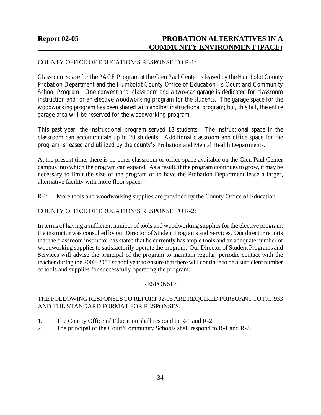### **Report 02-05 PROBATION ALTERNATIVES IN A COMMUNITY ENVIRONMENT (PACE)**

### COUNTY OFFICE OF EDUCATION'S RESPONSE TO R-1:

Classroom space for the PACE Program at the Glen Paul Center is leased by the Humboldt County Probation Department and the Humboldt County Office of Education=s Court and Community School Program. One conventional classroom and a two-car garage is dedicated for classroom instruction and for an elective woodworking program for the students. The garage space for the woodworking program has been shared with another instructional program; but, this fall, the entire garage area will be reserved for the woodworking program.

This past year, the instructional program served 18 students. The instructional space in the classroom can accommodate up to 20 students. Additional classroom and office space for the program is leased and utilized by the county's Probation and Mental Health Departments.

At the present time, there is no other classroom or office space available on the Glen Paul Center campus into which the program can expand. As a result, if the program continues to grow, it may be necessary to limit the size of the program or to have the Probation Department lease a larger, alternative facility with more floor space.

R-2: More tools and woodworking supplies are provided by the County Office of Education.

### COUNTY OFFICE OF EDUCATION'S RESPONSE TO R-2:

In terms of having a sufficient number of tools and woodworking supplies for the elective program, the instructor was consulted by our Director of Student Programs and Services. Our director reports that the classroom instructor has stated that he currently has ample tools and an adequate number of woodworking supplies to satisfactorily operate the program. Our Director of Student Programs and Services will advise the principal of the program to maintain regular, periodic contact with the teacher during the 2002-2003 school year to ensure that there will continue to be a sufficient number of tools and supplies for successfully operating the program.

#### RESPONSES

### THE FOLLOWING RESPONSES TO REPORT 02-05 ARE REQUIRED PURSUANT TO P.C. 933 AND THE STANDARD FORMAT FOR RESPONSES.

- 1. The County Office of Education shall respond to R-1 and R-2.
- 2. The principal of the Court/Community Schools shall respond to R-1 and R-2.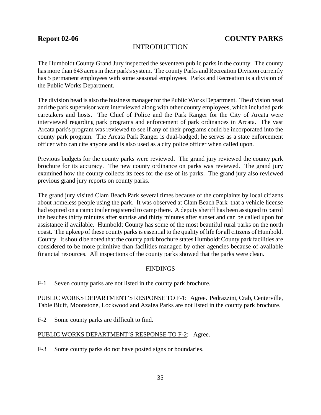# INTRODUCTION

The Humboldt County Grand Jury inspected the seventeen public parks in the county. The county has more than 643 acres in their park's system. The county Parks and Recreation Division currently has 5 permanent employees with some seasonal employees. Parks and Recreation is a division of the Public Works Department.

The division head is also the business manager for the Public Works Department. The division head and the park supervisor were interviewed along with other county employees, which included park caretakers and hosts. The Chief of Police and the Park Ranger for the City of Arcata were interviewed regarding park programs and enforcement of park ordinances in Arcata. The vast Arcata park's program was reviewed to see if any of their programs could be incorporated into the county park program. The Arcata Park Ranger is dual-badged; he serves as a state enforcement officer who can cite anyone and is also used as a city police officer when called upon.

Previous budgets for the county parks were reviewed. The grand jury reviewed the county park brochure for its accuracy. The new county ordinance on parks was reviewed. The grand jury examined how the county collects its fees for the use of its parks. The grand jury also reviewed previous grand jury reports on county parks.

The grand jury visited Clam Beach Park several times because of the complaints by local citizens about homeless people using the park. It was observed at Clam Beach Park that a vehicle license had expired on a camp trailer registered to camp there. A deputy sheriff has been assigned to patrol the beaches thirty minutes after sunrise and thirty minutes after sunset and can be called upon for assistance if available. Humboldt County has some of the most beautiful rural parks on the north coast. The upkeep of these county parks is essential to the quality of life for all citizens of Humboldt County. It should be noted that the county park brochure states Humboldt County park facilities are considered to be more primitive than facilities managed by other agencies because of available financial resources. All inspections of the county parks showed that the parks were clean.

## FINDINGS

F-1 Seven county parks are not listed in the county park brochure.

PUBLIC WORKS DEPARTMENT'S RESPONSE TO F-1: Agree. Pedrazzini, Crab, Centerville, Table Bluff, Moonstone, Lockwood and Azalea Parks are not listed in the county park brochure.

F-2 Some county parks are difficult to find.

## PUBLIC WORKS DEPARTMENT'S RESPONSE TO F-2: Agree.

F-3 Some county parks do not have posted signs or boundaries.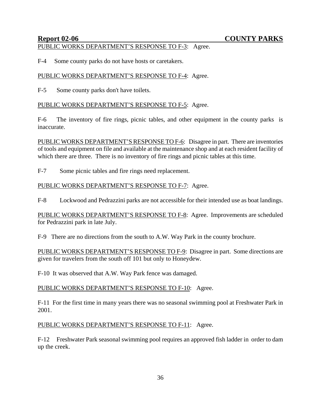### PUBLIC WORKS DEPARTMENT'S RESPONSE TO F-3: Agree.

F-4 Some county parks do not have hosts or caretakers.

### PUBLIC WORKS DEPARTMENT'S RESPONSE TO F-4: Agree.

F-5 Some county parks don't have toilets.

### PUBLIC WORKS DEPARTMENT'S RESPONSE TO F-5: Agree.

F-6 The inventory of fire rings, picnic tables, and other equipment in the county parks is inaccurate.

PUBLIC WORKS DEPARTMENT'S RESPONSE TO F-6: Disagree in part. There are inventories of tools and equipment on file and available at the maintenance shop and at each resident facility of which there are three. There is no inventory of fire rings and picnic tables at this time.

F-7 Some picnic tables and fire rings need replacement.

## PUBLIC WORKS DEPARTMENT'S RESPONSE TO F-7: Agree.

F-8 Lockwood and Pedrazzini parks are not accessible for their intended use as boat landings.

PUBLIC WORKS DEPARTMENT'S RESPONSE TO F-8: Agree. Improvements are scheduled for Pedrazzini park in late July.

F-9 There are no directions from the south to A.W. Way Park in the county brochure.

PUBLIC WORKS DEPARTMENT'S RESPONSE TO F-9: Disagree in part. Some directions are given for travelers from the south off 101 but only to Honeydew.

F-10 It was observed that A.W. Way Park fence was damaged.

## PUBLIC WORKS DEPARTMENT'S RESPONSE TO F-10: Agree.

F-11 For the first time in many years there was no seasonal swimming pool at Freshwater Park in 2001.

## PUBLIC WORKS DEPARTMENT'S RESPONSE TO F-11: Agree.

F-12 Freshwater Park seasonal swimming pool requires an approved fish ladder in order to dam up the creek.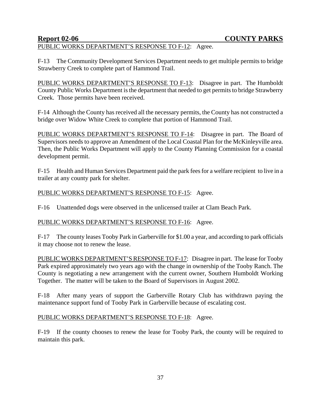# PUBLIC WORKS DEPARTMENT'S RESPONSE TO F-12: Agree.

F-13 The Community Development Services Department needs to get multiple permits to bridge Strawberry Creek to complete part of Hammond Trail.

PUBLIC WORKS DEPARTMENT'S RESPONSE TO F-13: Disagree in part. The Humboldt County Public Works Department is the department that needed to get permits to bridge Strawberry Creek. Those permits have been received.

F-14 Although the County has received all the necessary permits, the County has not constructed a bridge over Widow White Creek to complete that portion of Hammond Trail.

PUBLIC WORKS DEPARTMENT'S RESPONSE TO F-14: Disagree in part. The Board of Supervisors needs to approve an Amendment of the Local Coastal Plan for the McKinleyville area. Then, the Public Works Department will apply to the County Planning Commission for a coastal development permit.

F-15 Health and Human Services Department paid the park fees for a welfare recipient to live in a trailer at any county park for shelter.

## PUBLIC WORKS DEPARTMENT'S RESPONSE TO F-15: Agree.

F-16 Unattended dogs were observed in the unlicensed trailer at Clam Beach Park.

## PUBLIC WORKS DEPARTMENT'S RESPONSE TO F-16: Agree.

F-17 The county leases Tooby Park in Garberville for \$1.00 a year, and according to park officials it may choose not to renew the lease.

PUBLIC WORKS DEPARTMENT'S RESPONSE TO F-17: Disagree in part. The lease for Tooby Park expired approximately two years ago with the change in ownership of the Tooby Ranch. The County is negotiating a new arrangement with the current owner, Southern Humboldt Working Together. The matter will be taken to the Board of Supervisors in August 2002.

F-18 After many years of support the Garberville Rotary Club has withdrawn paying the maintenance support fund of Tooby Park in Garberville because of escalating cost.

## PUBLIC WORKS DEPARTMENT'S RESPONSE TO F-18: Agree.

F-19 If the county chooses to renew the lease for Tooby Park, the county will be required to maintain this park.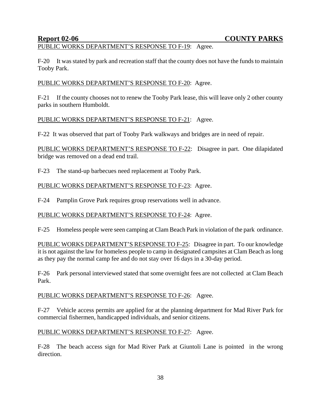# PUBLIC WORKS DEPARTMENT'S RESPONSE TO F-19: Agree.

F-20 It was stated by park and recreation staff that the county does not have the funds to maintain Tooby Park.

## PUBLIC WORKS DEPARTMENT'S RESPONSE TO F-20: Agree.

F-21 If the county chooses not to renew the Tooby Park lease, this will leave only 2 other county parks in southern Humboldt.

### PUBLIC WORKS DEPARTMENT'S RESPONSE TO F-21: Agree.

F-22 It was observed that part of Tooby Park walkways and bridges are in need of repair.

PUBLIC WORKS DEPARTMENT'S RESPONSE TO F-22: Disagree in part. One dilapidated bridge was removed on a dead end trail.

F-23 The stand-up barbecues need replacement at Tooby Park.

## PUBLIC WORKS DEPARTMENT'S RESPONSE TO F-23: Agree.

F-24 Pamplin Grove Park requires group reservations well in advance.

### PUBLIC WORKS DEPARTMENT'S RESPONSE TO F-24: Agree.

F-25 Homeless people were seen camping at Clam Beach Park in violation of the park ordinance.

PUBLIC WORKS DEPARTMENT'S RESPONSE TO F-25: Disagree in part. To our knowledge it is not against the law for homeless people to camp in designated campsites at Clam Beach as long as they pay the normal camp fee and do not stay over 16 days in a 30-day period.

F-26 Park personal interviewed stated that some overnight fees are not collected at Clam Beach Park.

### PUBLIC WORKS DEPARTMENT'S RESPONSE TO F-26: Agree.

F-27 Vehicle access permits are applied for at the planning department for Mad River Park for commercial fishermen, handicapped individuals, and senior citizens.

### PUBLIC WORKS DEPARTMENT'S RESPONSE TO F-27: Agree.

F-28 The beach access sign for Mad River Park at Giuntoli Lane is pointed in the wrong direction.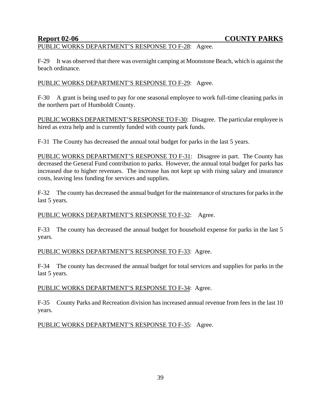# PUBLIC WORKS DEPARTMENT'S RESPONSE TO F-28: Agree.

F-29 It was observed that there was overnight camping at Moonstone Beach, which is against the beach ordinance.

## PUBLIC WORKS DEPARTMENT'S RESPONSE TO F-29: Agree.

F-30 A grant is being used to pay for one seasonal employee to work full-time cleaning parks in the northern part of Humboldt County.

PUBLIC WORKS DEPARTMENT'S RESPONSE TO F-30: Disagree. The particular employee is hired as extra help and is currently funded with county park funds.

F-31 The County has decreased the annual total budget for parks in the last 5 years.

PUBLIC WORKS DEPARTMENT'S RESPONSE TO F-31: Disagree in part. The County has decreased the General Fund contribution to parks. However, the annual total budget for parks has increased due to higher revenues. The increase has not kept up with rising salary and insurance costs, leaving less funding for services and supplies.

F-32 The county has decreased the annual budget for the maintenance of structures for parks in the last 5 years.

## PUBLIC WORKS DEPARTMENT'S RESPONSE TO F-32: Agree.

F-33 The county has decreased the annual budget for household expense for parks in the last 5 years.

## PUBLIC WORKS DEPARTMENT'S RESPONSE TO F-33: Agree.

F-34 The county has decreased the annual budget for total services and supplies for parks in the last 5 years.

## PUBLIC WORKS DEPARTMENT'S RESPONSE TO F-34: Agree.

F-35 County Parks and Recreation division has increased annual revenue from fees in the last 10 years.

## PUBLIC WORKS DEPARTMENT'S RESPONSE TO F-35: Agree.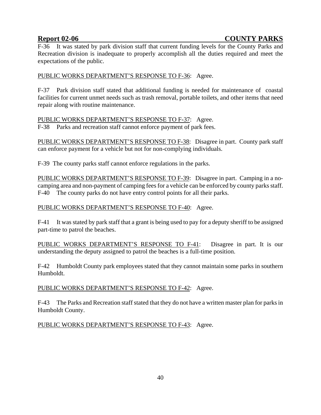F-36 It was stated by park division staff that current funding levels for the County Parks and Recreation division is inadequate to properly accomplish all the duties required and meet the expectations of the public.

## PUBLIC WORKS DEPARTMENT'S RESPONSE TO F-36: Agree.

F-37 Park division staff stated that additional funding is needed for maintenance of coastal facilities for current unmet needs such as trash removal, portable toilets, and other items that need repair along with routine maintenance.

## PUBLIC WORKS DEPARTMENT'S RESPONSE TO F-37: Agree.

F-38 Parks and recreation staff cannot enforce payment of park fees.

PUBLIC WORKS DEPARTMENT'S RESPONSE TO F-38: Disagree in part. County park staff can enforce payment for a vehicle but not for non-complying individuals.

F-39 The county parks staff cannot enforce regulations in the parks.

PUBLIC WORKS DEPARTMENT'S RESPONSE TO F-39: Disagree in part. Camping in a nocamping area and non-payment of camping fees for a vehicle can be enforced by county parks staff. F-40 The county parks do not have entry control points for all their parks.

## PUBLIC WORKS DEPARTMENT'S RESPONSE TO F-40: Agree.

F-41 It was stated by park staff that a grant is being used to pay for a deputy sheriff to be assigned part-time to patrol the beaches.

PUBLIC WORKS DEPARTMENT'S RESPONSE TO F-41: Disagree in part. It is our understanding the deputy assigned to patrol the beaches is a full-time position.

F-42 Humboldt County park employees stated that they cannot maintain some parks in southern Humboldt.

## PUBLIC WORKS DEPARTMENT'S RESPONSE TO F-42: Agree.

F-43 The Parks and Recreation staff stated that they do not have a written master plan for parks in Humboldt County.

## PUBLIC WORKS DEPARTMENT'S RESPONSE TO F-43: Agree.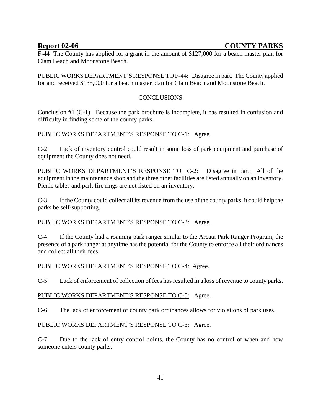F-44 The County has applied for a grant in the amount of \$127,000 for a beach master plan for Clam Beach and Moonstone Beach.

PUBLIC WORKS DEPARTMENT'S RESPONSE TO F-44: Disagree in part. The County applied for and received \$135,000 for a beach master plan for Clam Beach and Moonstone Beach.

## CONCLUSIONS

Conclusion #1 (C-1) Because the park brochure is incomplete, it has resulted in confusion and difficulty in finding some of the county parks.

## PUBLIC WORKS DEPARTMENT'S RESPONSE TO C-1: Agree.

C-2 Lack of inventory control could result in some loss of park equipment and purchase of equipment the County does not need.

PUBLIC WORKS DEPARTMENT'S RESPONSE TO C-2: Disagree in part. All of the equipment in the maintenance shop and the three other facilities are listed annually on an inventory. Picnic tables and park fire rings are not listed on an inventory.

C-3 If the County could collect all its revenue from the use of the county parks, it could help the parks be self-supporting.

## PUBLIC WORKS DEPARTMENT'S RESPONSE TO C-3: Agree.

C-4 If the County had a roaming park ranger similar to the Arcata Park Ranger Program, the presence of a park ranger at anytime has the potential for the County to enforce all their ordinances and collect all their fees.

## PUBLIC WORKS DEPARTMENT'S RESPONSE TO C-4: Agree.

C-5 Lack of enforcement of collection of fees has resulted in a loss of revenue to county parks.

## PUBLIC WORKS DEPARTMENT'S RESPONSE TO C-5: Agree.

C-6 The lack of enforcement of county park ordinances allows for violations of park uses.

## PUBLIC WORKS DEPARTMENT'S RESPONSE TO C-6: Agree.

C-7 Due to the lack of entry control points, the County has no control of when and how someone enters county parks.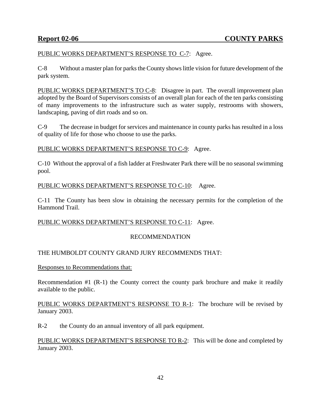## PUBLIC WORKS DEPARTMENT'S RESPONSE TO C-7: Agree.

C-8 Without a master plan for parks the County shows little vision for future development of the park system.

PUBLIC WORKS DEPARTMENT'S TO C-8: Disagree in part. The overall improvement plan adopted by the Board of Supervisors consists of an overall plan for each of the ten parks consisting of many improvements to the infrastructure such as water supply, restrooms with showers, landscaping, paving of dirt roads and so on.

C-9 The decrease in budget for services and maintenance in county parks has resulted in a loss of quality of life for those who choose to use the parks.

## PUBLIC WORKS DEPARTMENT'S RESPONSE TO C-9: Agree.

C-10 Without the approval of a fish ladder at Freshwater Park there will be no seasonal swimming pool.

## PUBLIC WORKS DEPARTMENT'S RESPONSE TO C-10: Agree.

C-11 The County has been slow in obtaining the necessary permits for the completion of the Hammond Trail.

## PUBLIC WORKS DEPARTMENT'S RESPONSE TO C-11: Agree.

## RECOMMENDATION

## THE HUMBOLDT COUNTY GRAND JURY RECOMMENDS THAT:

Responses to Recommendations that:

Recommendation #1 (R-1) the County correct the county park brochure and make it readily available to the public.

PUBLIC WORKS DEPARTMENT'S RESPONSE TO R-1: The brochure will be revised by January 2003.

R-2 the County do an annual inventory of all park equipment.

PUBLIC WORKS DEPARTMENT'S RESPONSE TO R-2: This will be done and completed by January 2003.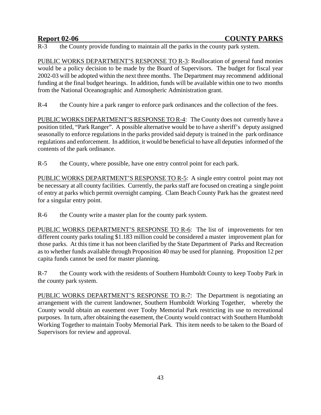R-3 the County provide funding to maintain all the parks in the county park system.

PUBLIC WORKS DEPARTMENT'S RESPONSE TO R-3: Reallocation of general fund monies would be a policy decision to be made by the Board of Supervisors. The budget for fiscal year 2002-03 will be adopted within the next three months. The Department may recommend additional funding at the final budget hearings. In addition, funds will be available within one to two months from the National Oceanographic and Atmospheric Administration grant.

R-4 the County hire a park ranger to enforce park ordinances and the collection of the fees.

PUBLIC WORKS DEPARTMENT'S RESPONSE TO R-4: The County does not currently have a position titled, "Park Ranger". A possible alternative would be to have a sheriff's deputy assigned seasonally to enforce regulations in the parks provided said deputy is trained in the park ordinance regulations and enforcement. In addition, it would be beneficial to have all deputies informed of the contents of the park ordinance.

R-5 the County, where possible, have one entry control point for each park.

PUBLIC WORKS DEPARTMENT'S RESPONSE TO R-5: A single entry control point may not be necessary at all county facilities. Currently, the parks staff are focused on creating a single point of entry at parks which permit overnight camping. Clam Beach County Park has the greatest need for a singular entry point.

R-6 the County write a master plan for the county park system.

PUBLIC WORKS DEPARTMENT'S RESPONSE TO R-6: The list of improvements for ten different county parks totaling \$1.183 million could be considered a master improvement plan for those parks. At this time it has not been clarified by the State Department of Parks and Recreation as to whether funds available through Proposition 40 may be used for planning. Proposition 12 per capita funds cannot be used for master planning.

R-7 the County work with the residents of Southern Humboldt County to keep Tooby Park in the county park system.

PUBLIC WORKS DEPARTMENT'S RESPONSE TO R-7: The Department is negotiating an arrangement with the current landowner, Southern Humboldt Working Together, whereby the County would obtain an easement over Tooby Memorial Park restricting its use to recreational purposes. In turn, after obtaining the easement, the County would contract with Southern Humboldt Working Together to maintain Tooby Memorial Park. This item needs to be taken to the Board of Supervisors for review and approval.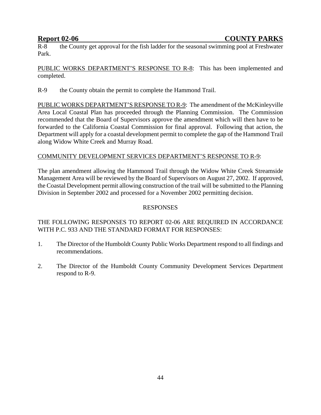R-8 the County get approval for the fish ladder for the seasonal swimming pool at Freshwater Park.

PUBLIC WORKS DEPARTMENT'S RESPONSE TO R-8: This has been implemented and completed.

R-9 the County obtain the permit to complete the Hammond Trail.

PUBLIC WORKS DEPARTMENT'S RESPONSE TO R-9: The amendment of the McKinleyville Area Local Coastal Plan has proceeded through the Planning Commission. The Commission recommended that the Board of Supervisors approve the amendment which will then have to be forwarded to the California Coastal Commission for final approval. Following that action, the Department will apply for a coastal development permit to complete the gap of the Hammond Trail along Widow White Creek and Murray Road.

## COMMUNITY DEVELOPMENT SERVICES DEPARTMENT'S RESPONSE TO R-9:

The plan amendment allowing the Hammond Trail through the Widow White Creek Streamside Management Area will be reviewed by the Board of Supervisors on August 27, 2002. If approved, the Coastal Development permit allowing construction of the trail will be submitted to the Planning Division in September 2002 and processed for a November 2002 permitting decision.

## **RESPONSES**

## THE FOLLOWING RESPONSES TO REPORT 02-06 ARE REQUIRED IN ACCORDANCE WITH P.C. 933 AND THE STANDARD FORMAT FOR RESPONSES:

- 1. The Director of the Humboldt County Public Works Department respond to all findings and recommendations.
- 2. The Director of the Humboldt County Community Development Services Department respond to R-9.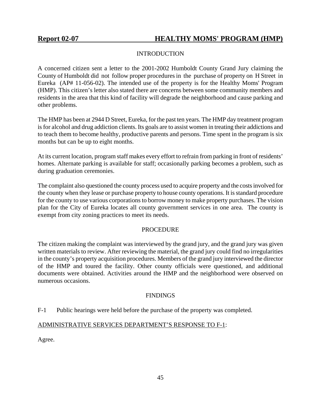## INTRODUCTION

A concerned citizen sent a letter to the 2001-2002 Humboldt County Grand Jury claiming the County of Humboldt did not follow proper procedures in the purchase of property on H Street in Eureka (AP# 11-056-02). The intended use of the property is for the Healthy Moms' Program (HMP). This citizen's letter also stated there are concerns between some community members and residents in the area that this kind of facility will degrade the neighborhood and cause parking and other problems.

The HMP has been at 2944 D Street, Eureka, for the past ten years. The HMP day treatment program is for alcohol and drug addiction clients. Its goals are to assist women in treating their addictions and to teach them to become healthy, productive parents and persons. Time spent in the program is six months but can be up to eight months.

At its current location, program staff makes every effort to refrain from parking in front of residents' homes. Alternate parking is available for staff; occasionally parking becomes a problem, such as during graduation ceremonies.

The complaint also questioned the county process used to acquire property and the costs involved for the county when they lease or purchase property to house county operations. It is standard procedure for the county to use various corporations to borrow money to make property purchases. The vision plan for the City of Eureka locates all county government services in one area. The county is exempt from city zoning practices to meet its needs.

## PROCEDURE

The citizen making the complaint was interviewed by the grand jury, and the grand jury was given written materials to review. After reviewing the material, the grand jury could find no irregularities in the county's property acquisition procedures. Members of the grand jury interviewed the director of the HMP and toured the facility. Other county officials were questioned, and additional documents were obtained. Activities around the HMP and the neighborhood were observed on numerous occasions.

# **FINDINGS**

# F-1 Public hearings were held before the purchase of the property was completed.

## ADMINISTRATIVE SERVICES DEPARTMENT'S RESPONSE TO F-1:

Agree.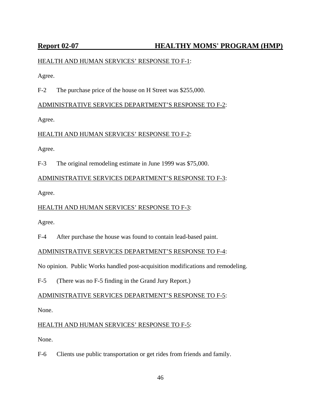# Report 02-07 **HEALTHY MOMS' PROGRAM (HMP)**

## HEALTH AND HUMAN SERVICES' RESPONSE TO F-1:

Agree.

F-2 The purchase price of the house on H Street was \$255,000.

## ADMINISTRATIVE SERVICES DEPARTMENT'S RESPONSE TO F-2:

Agree.

## HEALTH AND HUMAN SERVICES' RESPONSE TO F-2:

Agree.

F-3 The original remodeling estimate in June 1999 was \$75,000.

## ADMINISTRATIVE SERVICES DEPARTMENT'S RESPONSE TO F-3:

Agree.

# HEALTH AND HUMAN SERVICES' RESPONSE TO F-3:

Agree.

F-4 After purchase the house was found to contain lead-based paint.

## ADMINISTRATIVE SERVICES DEPARTMENT'S RESPONSE TO F-4:

No opinion. Public Works handled post-acquisition modifications and remodeling.

F-5 (There was no F-5 finding in the Grand Jury Report.)

# ADMINISTRATIVE SERVICES DEPARTMENT'S RESPONSE TO F-5:

None.

# HEALTH AND HUMAN SERVICES' RESPONSE TO F-5:

None.

F-6 Clients use public transportation or get rides from friends and family.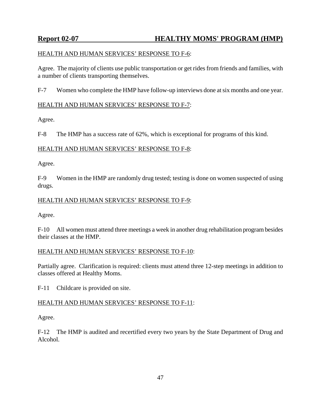# Report 02-07 **HEALTHY MOMS' PROGRAM (HMP)**

## HEALTH AND HUMAN SERVICES' RESPONSE TO F-6:

Agree. The majority of clients use public transportation or get rides from friends and families, with a number of clients transporting themselves.

F-7 Women who complete the HMP have follow-up interviews done at six months and one year.

## HEALTH AND HUMAN SERVICES' RESPONSE TO F-7:

Agree.

F-8 The HMP has a success rate of 62%, which is exceptional for programs of this kind.

## HEALTH AND HUMAN SERVICES' RESPONSE TO F-8:

Agree.

F-9 Women in the HMP are randomly drug tested; testing is done on women suspected of using drugs.

## HEALTH AND HUMAN SERVICES' RESPONSE TO F-9:

Agree.

F-10 All women must attend three meetings a week in another drug rehabilitation program besides their classes at the HMP.

## HEALTH AND HUMAN SERVICES' RESPONSE TO F-10:

Partially agree. Clarification is required: clients must attend three 12-step meetings in addition to classes offered at Healthy Moms.

F-11 Childcare is provided on site.

## HEALTH AND HUMAN SERVICES' RESPONSE TO F-11:

Agree.

F-12 The HMP is audited and recertified every two years by the State Department of Drug and Alcohol.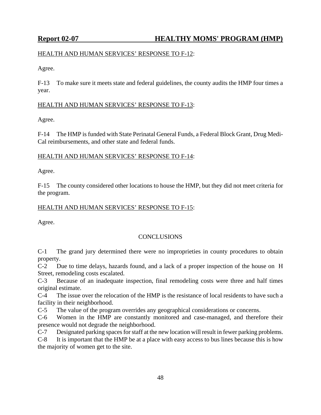## HEALTH AND HUMAN SERVICES' RESPONSE TO F-12:

Agree.

F-13 To make sure it meets state and federal guidelines, the county audits the HMP four times a year.

## HEALTH AND HUMAN SERVICES' RESPONSE TO F-13:

Agree.

F-14 The HMP is funded with State Perinatal General Funds, a Federal Block Grant, Drug Medi-Cal reimbursements, and other state and federal funds.

## HEALTH AND HUMAN SERVICES' RESPONSE TO F-14:

Agree.

F-15 The county considered other locations to house the HMP, but they did not meet criteria for the program.

# HEALTH AND HUMAN SERVICES' RESPONSE TO F-15:

Agree.

# **CONCLUSIONS**

C-1 The grand jury determined there were no improprieties in county procedures to obtain property.

C-2 Due to time delays, hazards found, and a lack of a proper inspection of the house on H Street, remodeling costs escalated.

C-3 Because of an inadequate inspection, final remodeling costs were three and half times original estimate.

C-4 The issue over the relocation of the HMP is the resistance of local residents to have such a facility in their neighborhood.

C-5 The value of the program overrides any geographical considerations or concerns.

C-6 Women in the HMP are constantly monitored and case-managed, and therefore their presence would not degrade the neighborhood.

C-7 Designated parking spaces for staff at the new location will result in fewer parking problems.

C-8 It is important that the HMP be at a place with easy access to bus lines because this is how the majority of women get to the site.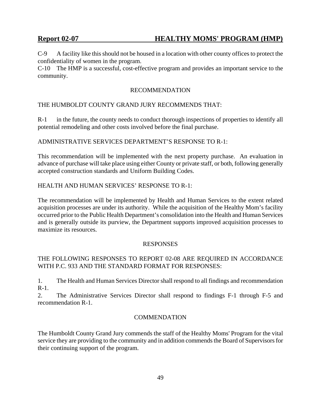# **Report 02-07 HEALTHY MOMS' PROGRAM (HMP)**

C-9 A facility like this should not be housed in a location with other county offices to protect the confidentiality of women in the program.

C-10 The HMP is a successful, cost-effective program and provides an important service to the community.

## RECOMMENDATION

## THE HUMBOLDT COUNTY GRAND JURY RECOMMENDS THAT:

R-1 in the future, the county needs to conduct thorough inspections of properties to identify all potential remodeling and other costs involved before the final purchase.

### ADMINISTRATIVE SERVICES DEPARTMENT'S RESPONSE TO R-1:

This recommendation will be implemented with the next property purchase. An evaluation in advance of purchase will take place using either County or private staff, or both, following generally accepted construction standards and Uniform Building Codes.

## HEALTH AND HUMAN SERVICES' RESPONSE TO R-1:

The recommendation will be implemented by Health and Human Services to the extent related acquisition processes are under its authority. While the acquisition of the Healthy Mom's facility occurred prior to the Public Health Department's consolidation into the Health and Human Services and is generally outside its purview, the Department supports improved acquisition processes to maximize its resources.

### RESPONSES

## THE FOLLOWING RESPONSES TO REPORT 02-08 ARE REQUIRED IN ACCORDANCE WITH P.C. 933 AND THE STANDARD FORMAT FOR RESPONSES:

1. The Health and Human Services Director shall respond to all findings and recommendation  $R-1$ .

2. The Administrative Services Director shall respond to findings F-1 through F-5 and recommendation R-1.

### **COMMENDATION**

The Humboldt County Grand Jury commends the staff of the Healthy Moms' Program for the vital service they are providing to the community and in addition commends the Board of Supervisors for their continuing support of the program.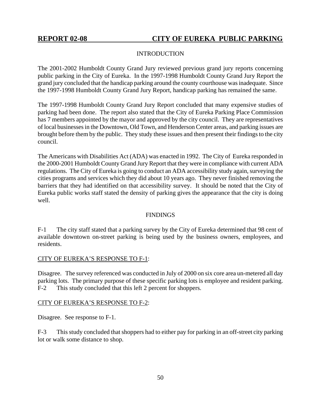## INTRODUCTION

The 2001-2002 Humboldt County Grand Jury reviewed previous grand jury reports concerning public parking in the City of Eureka. In the 1997-1998 Humboldt County Grand Jury Report the grand jury concluded that the handicap parking around the county courthouse was inadequate. Since the 1997-1998 Humboldt County Grand Jury Report, handicap parking has remained the same.

The 1997-1998 Humboldt County Grand Jury Report concluded that many expensive studies of parking had been done. The report also stated that the City of Eureka Parking Place Commission has 7 members appointed by the mayor and approved by the city council. They are representatives of local businesses in the Downtown, Old Town, and Henderson Center areas, and parking issues are brought before them by the public. They study these issues and then present their findings to the city council.

The Americans with Disabilities Act (ADA) was enacted in 1992. The City of Eureka responded in the 2000-2001 Humboldt County Grand Jury Report that they were in compliance with current ADA regulations. The City of Eureka is going to conduct an ADA accessibility study again, surveying the cities programs and services which they did about 10 years ago. They never finished removing the barriers that they had identified on that accessibility survey. It should be noted that the City of Eureka public works staff stated the density of parking gives the appearance that the city is doing well.

## **FINDINGS**

F-1 The city staff stated that a parking survey by the City of Eureka determined that 98 cent of available downtown on-street parking is being used by the business owners, employees, and residents.

## CITY OF EUREKA'S RESPONSE TO F-1:

Disagree. The survey referenced was conducted in July of 2000 on six core area un-metered all day parking lots. The primary purpose of these specific parking lots is employee and resident parking. F-2 This study concluded that this left 2 percent for shoppers.

## CITY OF EUREKA'S RESPONSE TO F-2:

Disagree. See response to F-1.

F-3 This study concluded that shoppers had to either pay for parking in an off-street city parking lot or walk some distance to shop.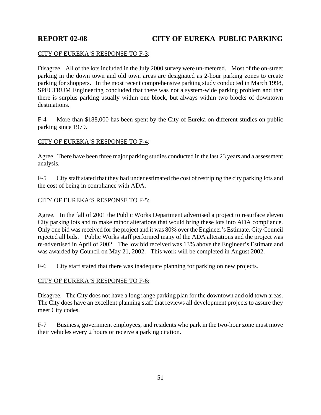## CITY OF EUREKA'S RESPONSE TO F-3:

Disagree. All of the lots included in the July 2000 survey were un-metered. Most of the on-street parking in the down town and old town areas are designated as 2-hour parking zones to create parking for shoppers. In the most recent comprehensive parking study conducted in March 1998, SPECTRUM Engineering concluded that there was not a system-wide parking problem and that there is surplus parking usually within one block, but always within two blocks of downtown destinations.

F-4 More than \$188,000 has been spent by the City of Eureka on different studies on public parking since 1979.

## CITY OF EUREKA'S RESPONSE TO F-4:

Agree. There have been three major parking studies conducted in the last 23 years and a assessment analysis.

F-5 City staff stated that they had under estimated the cost of restriping the city parking lots and the cost of being in compliance with ADA.

### CITY OF EUREKA'S RESPONSE TO F-5:

Agree. In the fall of 2001 the Public Works Department advertised a project to resurface eleven City parking lots and to make minor alterations that would bring these lots into ADA compliance. Only one bid was received for the project and it was 80% over the Engineer's Estimate. City Council rejected all bids. Public Works staff performed many of the ADA alterations and the project was re-advertised in April of 2002. The low bid received was 13% above the Engineer's Estimate and was awarded by Council on May 21, 2002. This work will be completed in August 2002.

F-6 City staff stated that there was inadequate planning for parking on new projects.

## CITY OF EUREKA'S RESPONSE TO F-6:

Disagree. The City does not have a long range parking plan for the downtown and old town areas. The City does have an excellent planning staff that reviews all development projects to assure they meet City codes.

F-7 Business, government employees, and residents who park in the two-hour zone must move their vehicles every 2 hours or receive a parking citation.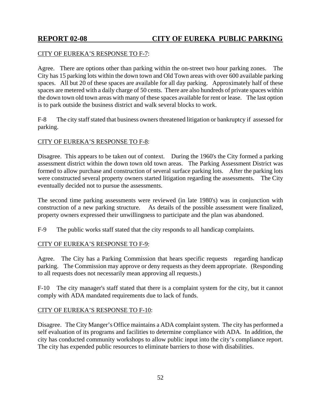## CITY OF EUREKA'S RESPONSE TO F-7:

Agree. There are options other than parking within the on-street two hour parking zones. The City has 15 parking lots within the down town and Old Town areas with over 600 available parking spaces. All but 20 of these spaces are available for all day parking. Approximately half of these spaces are metered with a daily charge of 50 cents. There are also hundreds of private spaces within the down town old town areas with many of these spaces available for rent or lease. The last option is to park outside the business district and walk several blocks to work.

F-8 The city staff stated that business owners threatened litigation or bankruptcy if assessed for parking.

### CITY OF EUREKA'S RESPONSE TO F-8:

Disagree. This appears to be taken out of context. During the 1960's the City formed a parking assessment district within the down town old town areas. The Parking Assessment District was formed to allow purchase and construction of several surface parking lots. After the parking lots were constructed several property owners started litigation regarding the assessments. The City eventually decided not to pursue the assessments.

The second time parking assessments were reviewed (in late 1980's) was in conjunction with construction of a new parking structure. As details of the possible assessment were finalized, property owners expressed their unwillingness to participate and the plan was abandoned.

F-9 The public works staff stated that the city responds to all handicap complaints.

## CITY OF EUREKA'S RESPONSE TO F-9:

Agree. The City has a Parking Commission that hears specific requests regarding handicap parking. The Commission may approve or deny requests as they deem appropriate. (Responding to all requests does not necessarily mean approving all requests.)

F-10 The city manager's staff stated that there is a complaint system for the city, but it cannot comply with ADA mandated requirements due to lack of funds.

## CITY OF EUREKA'S RESPONSE TO F-10:

Disagree. The City Manger's Office maintains a ADA complaint system. The city has performed a self evaluation of its programs and facilities to determine compliance with ADA. In addition, the city has conducted community workshops to allow public input into the city's compliance report. The city has expended public resources to eliminate barriers to those with disabilities.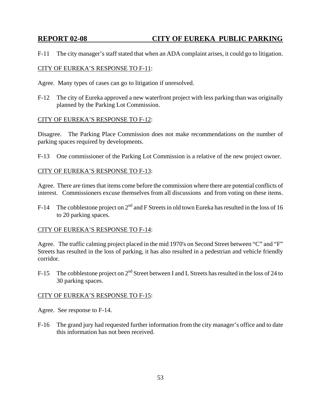F-11 The city manager's staff stated that when an ADA complaint arises, it could go to litigation.

## CITY OF EUREKA'S RESPONSE TO F-11:

Agree. Many types of cases can go to litigation if unresolved.

F-12 The city of Eureka approved a new waterfront project with less parking than was originally planned by the Parking Lot Commission.

## CITY OF EUREKA'S RESPONSE TO F-12:

Disagree. The Parking Place Commission does not make recommendations on the number of parking spaces required by developments.

F-13 One commissioner of the Parking Lot Commission is a relative of the new project owner.

### CITY OF EUREKA'S RESPONSE TO F-13:

Agree. There are times that items come before the commission where there are potential conflicts of interest. Commissioners excuse themselves from all discussions and from voting on these items.

F-14 The cobblestone project on  $2<sup>nd</sup>$  and F Streets in old town Eureka has resulted in the loss of 16 to 20 parking spaces.

### CITY OF EUREKA'S RESPONSE TO F-14:

Agree. The traffic calming project placed in the mid 1970's on Second Street between "C" and "F" Streets has resulted in the loss of parking, it has also resulted in a pedestrian and vehicle friendly corridor.

F-15 The cobblestone project on  $2<sup>nd</sup>$  Street between I and L Streets has resulted in the loss of 24 to 30 parking spaces.

## CITY OF EUREKA'S RESPONSE TO F-15:

- Agree. See response to F-14.
- F-16 The grand jury had requested further information from the city manager's office and to date this information has not been received.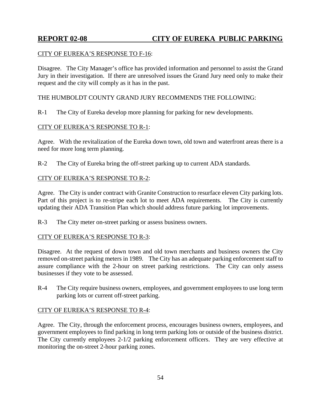## CITY OF EUREKA'S RESPONSE TO F-16:

Disagree. The City Manager's office has provided information and personnel to assist the Grand Jury in their investigation. If there are unresolved issues the Grand Jury need only to make their request and the city will comply as it has in the past.

## THE HUMBOLDT COUNTY GRAND JURY RECOMMENDS THE FOLLOWING:

R-1 The City of Eureka develop more planning for parking for new developments.

## CITY OF EUREKA'S RESPONSE TO R-1:

Agree. With the revitalization of the Eureka down town, old town and waterfront areas there is a need for more long term planning.

R-2 The City of Eureka bring the off-street parking up to current ADA standards.

## CITY OF EUREKA'S RESPONSE TO R-2:

Agree. The City is under contract with Granite Construction to resurface eleven City parking lots. Part of this project is to re-stripe each lot to meet ADA requirements. The City is currently updating their ADA Transition Plan which should address future parking lot improvements.

R-3 The City meter on-street parking or assess business owners.

## CITY OF EUREKA'S RESPONSE TO R-3:

Disagree. At the request of down town and old town merchants and business owners the City removed on-street parking meters in 1989. The City has an adequate parking enforcement staff to assure compliance with the 2-hour on street parking restrictions. The City can only assess businesses if they vote to be assessed.

R-4 The City require business owners, employees, and government employees to use long term parking lots or current off-street parking.

## CITY OF EUREKA'S RESPONSE TO R-4:

Agree. The City, through the enforcement process, encourages business owners, employees, and government employees to find parking in long term parking lots or outside of the business district. The City currently employees 2-1/2 parking enforcement officers. They are very effective at monitoring the on-street 2-hour parking zones.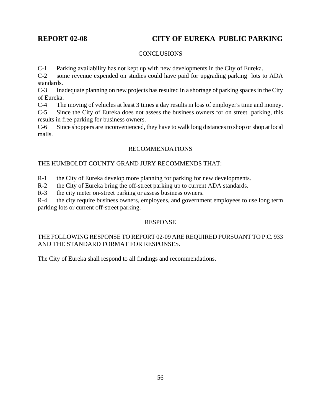## **CONCLUSIONS**

C-1 Parking availability has not kept up with new developments in the City of Eureka.

C-2 some revenue expended on studies could have paid for upgrading parking lots to ADA standards.

C-3 Inadequate planning on new projects has resulted in a shortage of parking spaces in the City of Eureka.

C-4 The moving of vehicles at least 3 times a day results in loss of employer's time and money.

C-5 Since the City of Eureka does not assess the business owners for on street parking, this results in free parking for business owners.

C-6 Since shoppers are inconvenienced, they have to walk long distances to shop or shop at local malls.

## RECOMMENDATIONS

## THE HUMBOLDT COUNTY GRAND JURY RECOMMENDS THAT:

R-1 the City of Eureka develop more planning for parking for new developments.

R-2 the City of Eureka bring the off-street parking up to current ADA standards.

R-3 the city meter on-street parking or assess business owners.

R-4 the city require business owners, employees, and government employees to use long term parking lots or current off-street parking.

## RESPONSE

## THE FOLLOWING RESPONSE TO REPORT 02-09 ARE REQUIRED PURSUANT TO P.C. 933 AND THE STANDARD FORMAT FOR RESPONSES.

The City of Eureka shall respond to all findings and recommendations.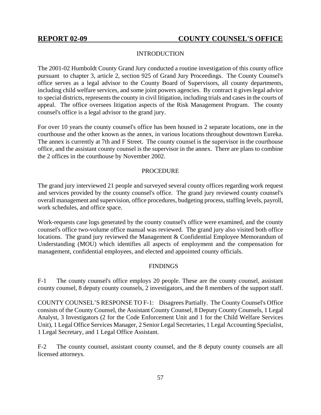## INTRODUCTION

The 2001-02 Humboldt County Grand Jury conducted a routine investigation of this county office pursuant to chapter 3, article 2, section 925 of Grand Jury Proceedings. The County Counsel's office serves as a legal advisor to the County Board of Supervisors, all county departments, including child welfare services, and some joint powers agencies. By contract it gives legal advice to special districts, represents the county in civil litigation, including trials and cases in the courts of appeal. The office oversees litigation aspects of the Risk Management Program. The county counsel's office is a legal advisor to the grand jury.

For over 10 years the county counsel's office has been housed in 2 separate locations, one in the courthouse and the other known as the annex, in various locations throughout downtown Eureka. The annex is currently at 7th and F Street. The county counsel is the supervisor in the courthouse office, and the assistant county counsel is the supervisor in the annex. There are plans to combine the 2 offices in the courthouse by November 2002.

## PROCEDURE

The grand jury interviewed 21 people and surveyed several county offices regarding work request and services provided by the county counsel's office. The grand jury reviewed county counsel's overall management and supervision, office procedures, budgeting process, staffing levels, payroll, work schedules, and office space.

Work-requests case logs generated by the county counsel's office were examined, and the county counsel's office two-volume office manual was reviewed. The grand jury also visited both office locations. The grand jury reviewed the Management & Confidential Employee Memorandum of Understanding (MOU) which identifies all aspects of employment and the compensation for management, confidential employees, and elected and appointed county officials.

## **FINDINGS**

F-1 The county counsel's office employs 20 people. These are the county counsel, assistant county counsel, 8 deputy county counsels, 2 investigators, and the 8 members of the support staff.

COUNTY COUNSEL'S RESPONSE TO F-1: Disagrees Partially. The County Counsel's Office consists of the County Counsel, the Assistant County Counsel, 8 Deputy County Counsels, 1 Legal Analyst, 3 Investigators (2 for the Code Enforcement Unit and 1 for the Child Welfare Services Unit), 1 Legal Office Services Manager, 2 Senior Legal Secretaries, 1 Legal Accounting Specialist, 1 Legal Secretary, and 1 Legal Office Assistant.

F-2 The county counsel, assistant county counsel, and the 8 deputy county counsels are all licensed attorneys.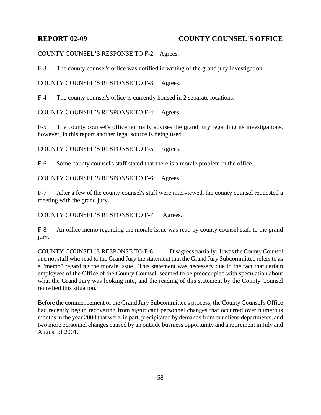COUNTY COUNSEL'S RESPONSE TO F-2: Agrees.

F-3 The county counsel's office was notified in writing of the grand jury investigation.

COUNTY COUNSEL'S RESPONSE TO F-3: Agrees.

F-4 The county counsel's office is currently housed in 2 separate locations.

COUNTY COUNSEL'S RESPONSE TO F-4: Agrees.

F-5 The county counsel's office normally advises the grand jury regarding its investigations, however, in this report another legal source is being used.

COUNTY COUNSEL'S RESPONSE TO F-5: Agrees.

F-6 Some county counsel's staff stated that there is a morale problem in the office.

COUNTY COUNSEL'S RESPONSE TO F-6: Agrees.

F-7 After a few of the county counsel's staff were interviewed, the county counsel requested a meeting with the grand jury.

COUNTY COUNSEL'S RESPONSE TO F-7: Agrees.

F-8 An office memo regarding the morale issue was read by county counsel staff to the grand jury.

COUNTY COUNSEL'S RESPONSE TO F-8: Disagrees partially. It was the County Counsel and not staff who read to the Grand Jury the statement that the Grand Jury Subcommittee refers to as a "memo" regarding the morale issue. This statement was necessary due to the fact that certain employees of the Office of the County Counsel, seemed to be preoccupied with speculation about what the Grand Jury was looking into, and the reading of this statement by the County Counsel remedied this situation.

Before the commencement of the Grand Jury Subcommittee's process, the County Counsel's Office had recently begun recovering from significant personnel changes that occurred over numerous months in the year 2000 that were, in part, precipitated by demands from our client-departments, and two more personnel changes caused by an outside business opportunity and a retirement in July and August of 2001.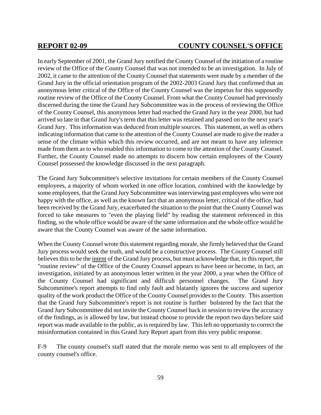In early September of 2001, the Grand Jury notified the County Counsel of the initiation of a routine review of the Office of the County Counsel that was not intended to be an investigation. In July of 2002, it came to the attention of the County Counsel that statements were made by a member of the Grand Jury in the official orientation program of the 2002-2003 Grand Jury that confirmed that an anonymous letter critical of the Office of the County Counsel was the impetus for this supposedly routine review of the Office of the County Counsel. From what the County Counsel had previously discerned during the time the Grand Jury Subcommittee was in the process of reviewing the Office of the County Counsel, this anonymous letter had reached the Grand Jury in the year 2000, but had arrived so late in that Grand Jury's term that this letter was retained and passed on to the next year's Grand Jury. This information was deduced from multiple sources. This statement, as well as others indicating information that came to the attention of the County Counsel are made to give the reader a sense of the climate within which this review occurred, and are not meant to have any inference made from them as to who enabled this information to come to the attention of the County Counsel. Further, the County Counsel made no attempts to discern how certain employees of the County Counsel possessed the knowledge discussed in the next paragraph.

The Grand Jury Subcommittee's selective invitations for certain members of the County Counsel employees, a majority of whom worked in one office location, combined with the knowledge by some employees, that the Grand Jury Subcommittee was interviewing past employees who were not happy with the office, as well as the known fact that an anonymous letter, critical of the office, had been received by the Grand Jury, exacerbated the situation to the point that the County Counsel was forced to take measures to "even the playing field" by reading the statement referenced in this finding, so the whole office would be aware of the same information and the whole office would be aware that the County Counsel was aware of the same information.

When the County Counsel wrote this statement regarding morale, she firmly believed that the Grand Jury process would seek the truth, and would be a constructive process. The County Counsel still believes this to be the intent of the Grand Jury process, but must acknowledge that, in this report, the "routine review" of the Office of the County Counsel appears to have been or become, in fact, an investigation, initiated by an anonymous letter written in the year 2000, a year when the Office of the County Counsel had significant and difficult personnel changes. The Grand Jury Subcommittee's report attempts to find only fault and blatantly ignores the success and superior quality of the work product the Office of the County Counsel provides to the County. This assertion that the Grand Jury Subcommittee's report is not routine is further bolstered by the fact that the Grand Jury Subcommittee did not invite the County Counsel back in session to review the accuracy of the findings, as is allowed by law, but instead choose to provide the report two days before said report was made available to the public, as is required by law. This left no opportunity to correct the misinformation contained in this Grand Jury Report apart from this very public response.

F-9 The county counsel's staff stated that the morale memo was sent to all employees of the county counsel's office.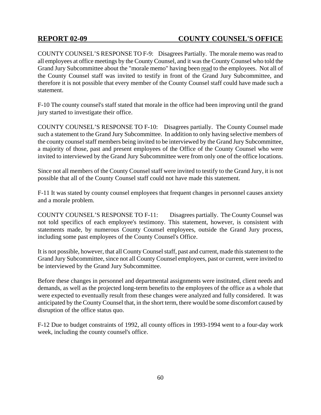COUNTY COUNSEL'S RESPONSE TO F-9: Disagrees Partially. The morale memo was read to all employees at office meetings by the County Counsel, and it was the County Counsel who told the Grand Jury Subcommittee about the "morale memo" having been read to the employees. Not all of the County Counsel staff was invited to testify in front of the Grand Jury Subcommittee, and therefore it is not possible that every member of the County Counsel staff could have made such a statement.

F-10 The county counsel's staff stated that morale in the office had been improving until the grand jury started to investigate their office.

COUNTY COUNSEL'S RESPONSE TO F-10: Disagrees partially. The County Counsel made such a statement to the Grand Jury Subcommittee. In addition to only having selective members of the county counsel staff members being invited to be interviewed by the Grand Jury Subcommittee, a majority of those, past and present employees of the Office of the County Counsel who were invited to interviewed by the Grand Jury Subcommittee were from only one of the office locations.

Since not all members of the County Counsel staff were invited to testify to the Grand Jury, it is not possible that all of the County Counsel staff could not have made this statement.

F-11 It was stated by county counsel employees that frequent changes in personnel causes anxiety and a morale problem.

COUNTY COUNSEL'S RESPONSE TO F-11: Disagrees partially. The County Counsel was not told specifics of each employee's testimony. This statement, however, is consistent with statements made, by numerous County Counsel employees, outside the Grand Jury process, including some past employees of the County Counsel's Office.

It is not possible, however, that all County Counsel staff, past and current, made this statement to the Grand Jury Subcommittee, since not all County Counsel employees, past or current, were invited to be interviewed by the Grand Jury Subcommittee.

Before these changes in personnel and departmental assignments were instituted, client needs and demands, as well as the projected long-term benefits to the employees of the office as a whole that were expected to eventually result from these changes were analyzed and fully considered. It was anticipated by the County Counsel that, in the short term, there would be some discomfort caused by disruption of the office status quo.

F-12 Due to budget constraints of 1992, all county offices in 1993-1994 went to a four-day work week, including the county counsel's office.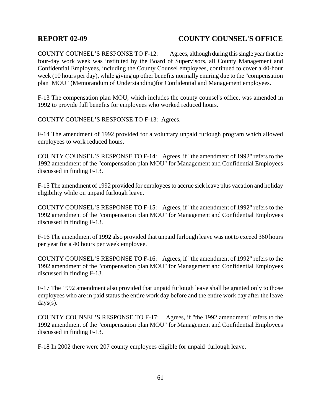COUNTY COUNSEL'S RESPONSE TO F-12: Agrees, although during this single year that the four-day work week was instituted by the Board of Supervisors, all County Management and Confidential Employees, including the County Counsel employees, continued to cover a 40-hour week (10 hours per day), while giving up other benefits normally enuring due to the "compensation plan MOU" (Memorandum of Understanding)for Confidential and Management employees.

F-13 The compensation plan MOU, which includes the county counsel's office, was amended in 1992 to provide full benefits for employees who worked reduced hours.

COUNTY COUNSEL'S RESPONSE TO F-13: Agrees.

F-14 The amendment of 1992 provided for a voluntary unpaid furlough program which allowed employees to work reduced hours.

COUNTY COUNSEL'S RESPONSE TO F-14: Agrees, if "the amendment of 1992" refers to the 1992 amendment of the "compensation plan MOU" for Management and Confidential Employees discussed in finding F-13.

F-15 The amendment of 1992 provided for employees to accrue sick leave plus vacation and holiday eligibility while on unpaid furlough leave.

COUNTY COUNSEL'S RESPONSE TO F-15: Agrees, if "the amendment of 1992" refers to the 1992 amendment of the "compensation plan MOU" for Management and Confidential Employees discussed in finding F-13.

F-16 The amendment of 1992 also provided that unpaid furlough leave was not to exceed 360 hours per year for a 40 hours per week employee.

COUNTY COUNSEL'S RESPONSE TO F-16: Agrees, if "the amendment of 1992" refers to the 1992 amendment of the "compensation plan MOU" for Management and Confidential Employees discussed in finding F-13.

F-17 The 1992 amendment also provided that unpaid furlough leave shall be granted only to those employees who are in paid status the entire work day before and the entire work day after the leave days(s).

COUNTY COUNSEL'S RESPONSE TO F-17: Agrees, if "the 1992 amendment" refers to the 1992 amendment of the "compensation plan MOU" for Management and Confidential Employees discussed in finding F-13.

F-18 In 2002 there were 207 county employees eligible for unpaid furlough leave.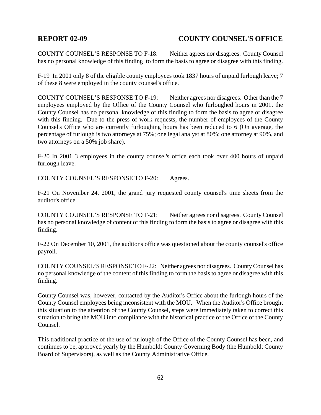COUNTY COUNSEL'S RESPONSE TO F-18: Neither agrees nor disagrees. County Counsel has no personal knowledge of this finding to form the basis to agree or disagree with this finding.

F-19 In 2001 only 8 of the eligible county employees took 1837 hours of unpaid furlough leave; 7 of these 8 were employed in the county counsel's office.

COUNTY COUNSEL'S RESPONSE TO F-19: Neither agrees nor disagrees. Other than the 7 employees employed by the Office of the County Counsel who furloughed hours in 2001, the County Counsel has no personal knowledge of this finding to form the basis to agree or disagree with this finding. Due to the press of work requests, the number of employees of the County Counsel's Office who are currently furloughing hours has been reduced to 6 (On average, the percentage of furlough is two attorneys at 75%; one legal analyst at 80%; one attorney at 90%, and two attorneys on a 50% job share).

F-20 In 2001 3 employees in the county counsel's office each took over 400 hours of unpaid furlough leave.

COUNTY COUNSEL'S RESPONSE TO F-20: Agrees.

F-21 On November 24, 2001, the grand jury requested county counsel's time sheets from the auditor's office.

COUNTY COUNSEL'S RESPONSE TO F-21: Neither agrees nor disagrees. County Counsel has no personal knowledge of content of this finding to form the basis to agree or disagree with this finding.

F-22 On December 10, 2001, the auditor's office was questioned about the county counsel's office payroll.

COUNTY COUNSEL'S RESPONSE TO F-22: Neither agrees nor disagrees. County Counsel has no personal knowledge of the content of this finding to form the basis to agree or disagree with this finding.

County Counsel was, however, contacted by the Auditor's Office about the furlough hours of the County Counsel employees being inconsistent with the MOU. When the Auditor's Office brought this situation to the attention of the County Counsel, steps were immediately taken to correct this situation to bring the MOU into compliance with the historical practice of the Office of the County Counsel.

This traditional practice of the use of furlough of the Office of the County Counsel has been, and continues to be, approved yearly by the Humboldt County Governing Body (the Humboldt County Board of Supervisors), as well as the County Administrative Office.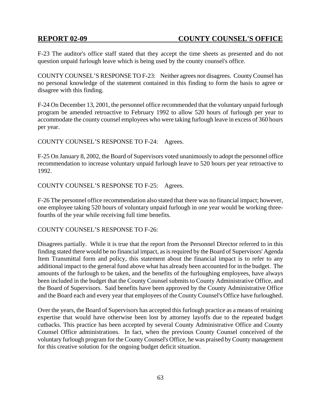F-23 The auditor's office staff stated that they accept the time sheets as presented and do not question unpaid furlough leave which is being used by the county counsel's office.

COUNTY COUNSEL'S RESPONSE TO F-23: Neither agrees nor disagrees. County Counsel has no personal knowledge of the statement contained in this finding to form the basis to agree or disagree with this finding.

F-24 On December 13, 2001, the personnel office recommended that the voluntary unpaid furlough program be amended retroactive to February 1992 to allow 520 hours of furlough per year to accommodate the county counsel employees who were taking furlough leave in excess of 360 hours per year.

COUNTY COUNSEL'S RESPONSE TO F-24: Agrees.

F-25 On January 8, 2002, the Board of Supervisors voted unanimously to adopt the personnel office recommendation to increase voluntary unpaid furlough leave to 520 hours per year retroactive to 1992.

COUNTY COUNSEL'S RESPONSE TO F-25: Agrees.

F-26 The personnel office recommendation also stated that there was no financial impact; however, one employee taking 520 hours of voluntary unpaid furlough in one year would be working threefourths of the year while receiving full time benefits.

COUNTY COUNSEL'S RESPONSE TO F-26:

Disagrees partially. While it is true that the report from the Personnel Director referred to in this finding stated there would be no financial impact, as is required by the Board of Supervisors' Agenda Item Transmittal form and policy, this statement about the financial impact is to refer to any additional impact to the general fund above what has already been accounted for in the budget. The amounts of the furlough to be taken, and the benefits of the furloughing employees, have always been included in the budget that the County Counsel submits to County Administrative Office, and the Board of Supervisors. Said benefits have been approved by the County Administrative Office and the Board each and every year that employees of the County Counsel's Office have furloughed.

Over the years, the Board of Supervisors has accepted this furlough practice as a means of retaining expertise that would have otherwise been lost by attorney layoffs due to the repeated budget cutbacks. This practice has been accepted by several County Administrative Office and County Counsel Office administrations. In fact, when the previous County Counsel conceived of the voluntary furlough program for the County Counsel's Office, he was praised by County management for this creative solution for the ongoing budget deficit situation.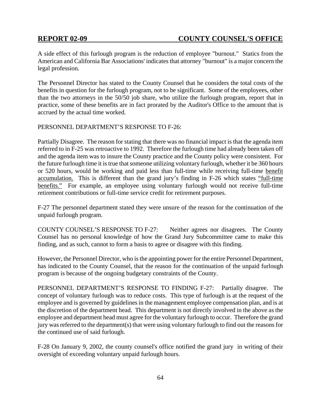A side effect of this furlough program is the reduction of employee "burnout." Statics from the American and California Bar Associations' indicates that attorney "burnout" is a major concern the legal profession.

The Personnel Director has stated to the County Counsel that he considers the total costs of the benefits in question for the furlough program, not to be significant. Some of the employees, other than the two attorneys in the 50/50 job share, who utilize the furlough program, report that in practice, some of these benefits are in fact prorated by the Auditor's Office to the amount that is accrued by the actual time worked.

## PERSONNEL DEPARTMENT'S RESPONSE TO F-26:

Partially Disagree. The reason for stating that there was no financial impact is that the agenda item referred to in F-25 was retroactive to 1992. Therefore the furlough time had already been taken off and the agenda item was to insure the County practice and the County policy were consistent. For the future furlough time it is true that someone utilizing voluntary furlough, whether it be 360 hours or 520 hours, would be working and paid less than full-time while receiving full-time benefit accumulation. This is different than the grand jury's finding in F-26 which states "full-time benefits." For example, an employee using voluntary furlough would not receive full-time retirement contributions or full-time service credit for retirement purposes.

F-27 The personnel department stated they were unsure of the reason for the continuation of the unpaid furlough program.

COUNTY COUNSEL'S RESPONSE TO F-27: Neither agrees nor disagrees. The County Counsel has no personal knowledge of how the Grand Jury Subcommittee came to make this finding, and as such, cannot to form a basis to agree or disagree with this finding.

However, the Personnel Director, who is the appointing power for the entire Personnel Department, has indicated to the County Counsel, that the reason for the continuation of the unpaid furlough program is because of the ongoing budgetary constraints of the County.

PERSONNEL DEPARTMENT'S RESPONSE TO FINDING F-27: Partially disagree. The concept of voluntary furlough was to reduce costs. This type of furlough is at the request of the employee and is governed by guidelines in the management employee compensation plan, and is at the discretion of the department head. This department is not directly involved in the above as the employee and department head must agree for the voluntary furlough to occur. Therefore the grand jury was referred to the department(s) that were using voluntary furlough to find out the reasons for the continued use of said furlough.

F-28 On January 9, 2002, the county counsel's office notified the grand jury in writing of their oversight of exceeding voluntary unpaid furlough hours.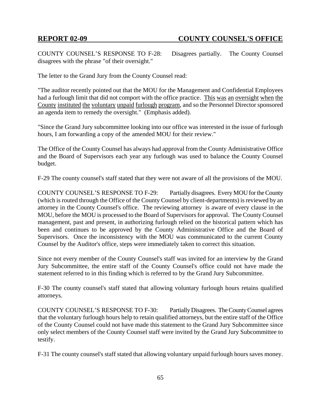COUNTY COUNSEL'S RESPONSE TO F-28: Disagrees partially. The County Counsel disagrees with the phrase "of their oversight."

The letter to the Grand Jury from the County Counsel read:

"The auditor recently pointed out that the MOU for the Management and Confidential Employees had a furlough limit that did not comport with the office practice. This was an oversight when the County instituted the voluntary unpaid furlough program, and so the Personnel Director sponsored an agenda item to remedy the oversight." (Emphasis added).

"Since the Grand Jury subcommittee looking into our office was interested in the issue of furlough hours, I am forwarding a copy of the amended MOU for their review."

The Office of the County Counsel has always had approval from the County Administrative Office and the Board of Supervisors each year any furlough was used to balance the County Counsel budget.

F-29 The county counsel's staff stated that they were not aware of all the provisions of the MOU.

COUNTY COUNSEL'S RESPONSE TO F-29: Partially disagrees. Every MOU for the County (which is routed through the Office of the County Counsel by client-departments) is reviewed by an attorney in the County Counsel's office. The reviewing attorney is aware of every clause in the MOU, before the MOU is processed to the Board of Supervisors for approval. The County Counsel management, past and present, in authorizing furlough relied on the historical pattern which has been and continues to be approved by the County Administrative Office and the Board of Supervisors. Once the inconsistency with the MOU was communicated to the current County Counsel by the Auditor's office, steps were immediately taken to correct this situation.

Since not every member of the County Counsel's staff was invited for an interview by the Grand Jury Subcommittee, the entire staff of the County Counsel's office could not have made the statement referred to in this finding which is referred to by the Grand Jury Subcommittee.

F-30 The county counsel's staff stated that allowing voluntary furlough hours retains qualified attorneys.

COUNTY COUNSEL'S RESPONSE TO F-30: Partially Disagrees. The County Counsel agrees that the voluntary furlough hours help to retain qualified attorneys, but the entire staff of the Office of the County Counsel could not have made this statement to the Grand Jury Subcommittee since only select members of the County Counsel staff were invited by the Grand Jury Subcommittee to testify.

F-31 The county counsel's staff stated that allowing voluntary unpaid furlough hours saves money.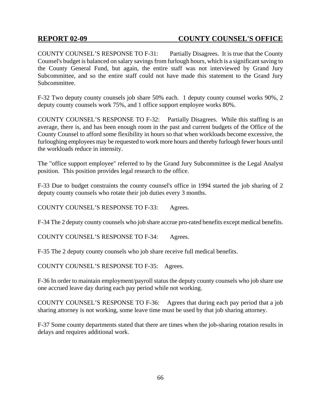COUNTY COUNSEL'S RESPONSE TO F-31: Partially Disagrees. It is true that the County Counsel's budget is balanced on salary savings from furlough hours, which is a significant saving to the County General Fund, but again, the entire staff was not interviewed by Grand Jury Subcommittee, and so the entire staff could not have made this statement to the Grand Jury Subcommittee.

F-32 Two deputy county counsels job share 50% each. 1 deputy county counsel works 90%, 2 deputy county counsels work 75%, and 1 office support employee works 80%.

COUNTY COUNSEL'S RESPONSE TO F-32: Partially Disagrees. While this staffing is an average, there is, and has been enough room in the past and current budgets of the Office of the County Counsel to afford some flexibility in hours so that when workloads become excessive, the furloughing employees may be requested to work more hours and thereby furlough fewer hours until the workloads reduce in intensity.

The "office support employee" referred to by the Grand Jury Subcommittee is the Legal Analyst position. This position provides legal research to the office.

F-33 Due to budget constraints the county counsel's office in 1994 started the job sharing of 2 deputy county counsels who rotate their job duties every 3 months.

COUNTY COUNSEL'S RESPONSE TO F-33: Agrees.

F-34 The 2 deputy county counsels who job share accrue pro-rated benefits except medical benefits.

COUNTY COUNSEL'S RESPONSE TO F-34: Agrees.

F-35 The 2 deputy county counsels who job share receive full medical benefits.

COUNTY COUNSEL'S RESPONSE TO F-35: Agrees.

F-36 In order to maintain employment/payroll status the deputy county counsels who job share use one accrued leave day during each pay period while not working.

COUNTY COUNSEL'S RESPONSE TO F-36: Agrees that during each pay period that a job sharing attorney is not working, some leave time must be used by that job sharing attorney.

F-37 Some county departments stated that there are times when the job-sharing rotation results in delays and requires additional work.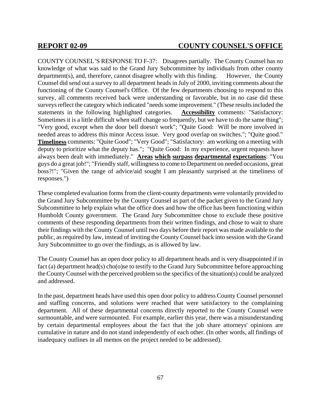COUNTY COUNSEL'S RESPONSE TO F-37: Disagrees partially. The County Counsel has no knowledge of what was said to the Grand Jury Subcommittee by individuals from other county department(s), and, therefore, cannot disagree wholly with this finding. However, the County Counsel did send out a survey to all department heads in July of 2000, inviting comments about the functioning of the County Counsel's Office. Of the few departments choosing to respond to this survey, all comments received back were understanding or favorable, but in no case did these surveys reflect the category which indicated "needs some improvement." (These results included the statements in the following highlighted categories. **Accessibility** comments: "Satisfactory: Sometimes it is a little difficult when staff change so frequently, but we have to do the same thing"; "Very good, except when the door bell doesn't work"; "Quite Good: Will be more involved in needed areas to address this minor Access issue. Very good overlap on switches."; "Quite good." **Timeliness** comments: "Quite Good"; "Very Good"; "Satisfactory: am working on a meeting with deputy to prioritize what the deputy has."; "Quite Good: In my experience, urgent requests have always been dealt with immediately." **Areas which surpass departmental expectations**: "You guys do a great job!"; "Friendly staff, willingness to come to Department on needed occasions, great boss?!"; "Given the range of advice/aid sought I am pleasantly surprised at the timeliness of responses.")

These completed evaluation forms from the client-county departments were voluntarily provided to the Grand Jury Subcommittee by the County Counsel as part of the packet given to the Grand Jury Subcommittee to help explain what the office does and how the office has been functioning within Humboldt County government. The Grand Jury Subcommittee chose to exclude these positive comments of these responding departments from their written findings, and chose to wait to share their findings with the County Counsel until two days before their report was made available to the public, as required by law, instead of inviting the County Counsel back into session with the Grand Jury Subcommittee to go over the findings, as is allowed by law.

The County Counsel has an open door policy to all department heads and is very disappointed if in fact (a) department head(s) cho(o)se to testify to the Grand Jury Subcommittee before approaching the County Counsel with the perceived problem so the specifics of the situation(s) could be analyzed and addressed.

In the past, department heads have used this open door policy to address County Counsel personnel and staffing concerns, and solutions were reached that were satisfactory to the complaining department. All of these departmental concerns directly reported to the County Counsel were surmountable, and were surmounted. For example, earlier this year, there was a misunderstanding by certain departmental employees about the fact that the job share attorneys' opinions are cumulative in nature and do not stand independently of each other. (In other words, all findings of inadequacy outlines in all memos on the project needed to be addressed).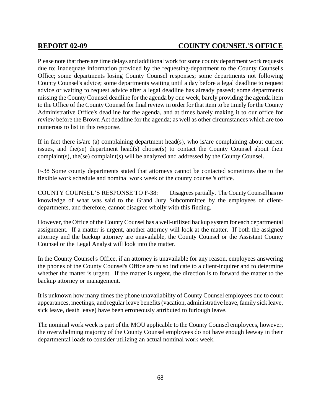Please note that there are time delays and additional work for some county department work requests due to: inadequate information provided by the requesting-department to the County Counsel's Office; some departments losing County Counsel responses; some departments not following County Counsel's advice; some departments waiting until a day before a legal deadline to request advice or waiting to request advice after a legal deadline has already passed; some departments missing the County Counsel deadline for the agenda by one week, barely providing the agenda item to the Office of the County Counsel for final review in order for that item to be timely for the County Administrative Office's deadline for the agenda, and at times barely making it to our office for review before the Brown Act deadline for the agenda; as well as other circumstances which are too numerous to list in this response.

If in fact there is/are (a) complaining department head(s), who is/are complaining about current issues, and the(se) department head(s) choose(s) to contact the County Counsel about their complaint(s), the(se) complaint(s) will be analyzed and addressed by the County Counsel.

F-38 Some county departments stated that attorneys cannot be contacted sometimes due to the flexible work schedule and nominal work week of the county counsel's office.

COUNTY COUNSEL'S RESPONSE TO F-38: Disagrees partially. The County Counsel has no knowledge of what was said to the Grand Jury Subcommittee by the employees of clientdepartments, and therefore, cannot disagree wholly with this finding.

However, the Office of the County Counsel has a well-utilized backup system for each departmental assignment. If a matter is urgent, another attorney will look at the matter. If both the assigned attorney and the backup attorney are unavailable, the County Counsel or the Assistant County Counsel or the Legal Analyst will look into the matter.

In the County Counsel's Office, if an attorney is unavailable for any reason, employees answering the phones of the County Counsel's Office are to so indicate to a client-inquirer and to determine whether the matter is urgent. If the matter is urgent, the direction is to forward the matter to the backup attorney or management.

It is unknown how many times the phone unavailability of County Counsel employees due to court appearances, meetings, and regular leave benefits (vacation, administrative leave, family sick leave, sick leave, death leave) have been erroneously attributed to furlough leave.

The nominal work week is part of the MOU applicable to the County Counsel employees, however, the overwhelming majority of the County Counsel employees do not have enough leeway in their departmental loads to consider utilizing an actual nominal work week.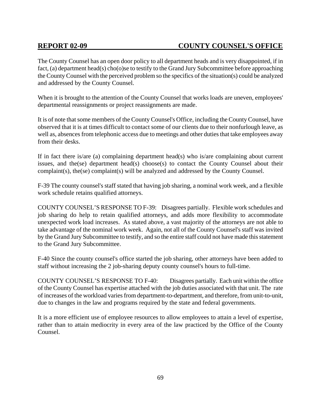The County Counsel has an open door policy to all department heads and is very disappointed, if in fact, (a) department head(s) cho(o)se to testify to the Grand Jury Subcommittee before approaching the County Counsel with the perceived problem so the specifics of the situation(s) could be analyzed and addressed by the County Counsel.

When it is brought to the attention of the County Counsel that works loads are uneven, employees' departmental reassignments or project reassignments are made.

It is of note that some members of the County Counsel's Office, including the County Counsel, have observed that it is at times difficult to contact some of our clients due to their nonfurlough leave, as well as, absences from telephonic access due to meetings and other duties that take employees away from their desks.

If in fact there is/are (a) complaining department head(s) who is/are complaining about current issues, and the(se) department head(s) choose(s) to contact the County Counsel about their complaint(s), the(se) complaint(s) will be analyzed and addressed by the County Counsel.

F-39 The county counsel's staff stated that having job sharing, a nominal work week, and a flexible work schedule retains qualified attorneys.

COUNTY COUNSEL'S RESPONSE TO F-39: Disagrees partially. Flexible work schedules and job sharing do help to retain qualified attorneys, and adds more flexibility to accommodate unexpected work load increases. As stated above, a vast majority of the attorneys are not able to take advantage of the nominal work week. Again, not all of the County Counsel's staff was invited by the Grand Jury Subcommittee to testify, and so the entire staff could not have made this statement to the Grand Jury Subcommittee.

F-40 Since the county counsel's office started the job sharing, other attorneys have been added to staff without increasing the 2 job-sharing deputy county counsel's hours to full-time.

COUNTY COUNSEL'S RESPONSE TO F-40: Disagrees partially. Each unit within the office of the County Counsel has expertise attached with the job duties associated with that unit. The rate of increases of the workload varies from department-to-department, and therefore, from unit-to-unit, due to changes in the law and programs required by the state and federal governments.

It is a more efficient use of employee resources to allow employees to attain a level of expertise, rather than to attain mediocrity in every area of the law practiced by the Office of the County Counsel.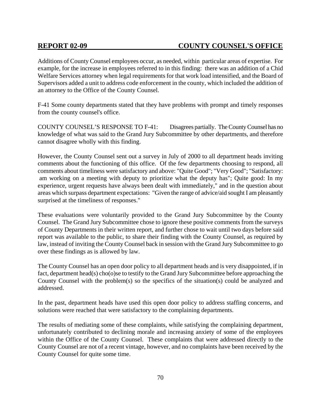Additions of County Counsel employees occur, as needed, within particular areas of expertise. For example, for the increase in employees referred to in this finding: there was an addition of a Chid Welfare Services attorney when legal requirements for that work load intensified, and the Board of Supervisors added a unit to address code enforcement in the county, which included the addition of an attorney to the Office of the County Counsel.

F-41 Some county departments stated that they have problems with prompt and timely responses from the county counsel's office.

COUNTY COUNSEL'S RESPONSE TO F-41: Disagrees partially. The County Counsel has no knowledge of what was said to the Grand Jury Subcommittee by other departments, and therefore cannot disagree wholly with this finding.

However, the County Counsel sent out a survey in July of 2000 to all department heads inviting comments about the functioning of this office. Of the few departments choosing to respond, all comments about timeliness were satisfactory and above: "Quite Good"; "Very Good"; "Satisfactory: am working on a meeting with deputy to prioritize what the deputy has"; Quite good: In my experience, urgent requests have always been dealt with immediately," and in the question about areas which surpass department expectations: "Given the range of advice/aid sought I am pleasantly surprised at the timeliness of responses."

These evaluations were voluntarily provided to the Grand Jury Subcommittee by the County Counsel. The Grand Jury Subcommittee chose to ignore these positive comments from the surveys of County Departments in their written report, and further chose to wait until two days before said report was available to the public, to share their finding with the County Counsel, as required by law, instead of inviting the County Counsel back in session with the Grand Jury Subcommittee to go over these findings as is allowed by law.

The County Counsel has an open door policy to all department heads and is very disappointed, if in fact, department head(s) cho(o)se to testify to the Grand Jury Subcommittee before approaching the County Counsel with the problem(s) so the specifics of the situation(s) could be analyzed and addressed.

In the past, department heads have used this open door policy to address staffing concerns, and solutions were reached that were satisfactory to the complaining departments.

The results of mediating some of these complaints, while satisfying the complaining department, unfortunately contributed to declining morale and increasing anxiety of some of the employees within the Office of the County Counsel. These complaints that were addressed directly to the County Counsel are not of a recent vintage, however, and no complaints have been received by the County Counsel for quite some time.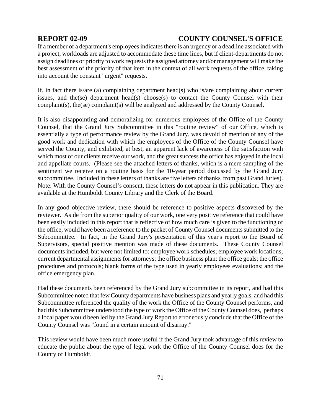If a member of a department's employees indicates there is an urgency or a deadline associated with a project, workloads are adjusted to accommodate these time lines, but if client-departments do not assign deadlines or priority to work requests the assigned attorney and/or management will make the best assessment of the priority of that item in the context of all work requests of the office, taking into account the constant "urgent" requests.

If, in fact there is/are (a) complaining department head(s) who is/are complaining about current issues, and the(se) department head(s) choose(s) to contact the County Counsel with their complaint(s), the(se) complaint(s) will be analyzed and addressed by the County Counsel.

It is also disappointing and demoralizing for numerous employees of the Office of the County Counsel, that the Grand Jury Subcommittee in this "routine review" of our Office, which is essentially a type of performance review by the Grand Jury, was devoid of mention of any of the good work and dedication with which the employees of the Office of the County Counsel have served the County, and exhibited, at best, an apparent lack of awareness of the satisfaction with which most of our clients receive our work, and the great success the office has enjoyed in the local and appellate courts. (Please see the attached letters of thanks, which is a mere sampling of the sentiment we receive on a routine basis for the 10-year period discussed by the Grand Jury subcommittee. Included in these letters of thanks are five letters of thanks from past Grand Juries). Note: With the County Counsel's consent, these letters do not appear in this publication. They are available at the Humboldt County Library and the Clerk of the Board.

In any good objective review, there should be reference to positive aspects discovered by the reviewer. Aside from the superior quality of our work, one very positive reference that could have been easily included in this report that is reflective of how much care is given to the functioning of the office, would have been a reference to the packet of County Counsel documents submitted to the Subcommittee. In fact, in the Grand Jury's presentation of this year's report to the Board of Supervisors, special positive mention was made of these documents. These County Counsel documents included, but were not limited to: employee work schedules; employee work locations; current departmental assignments for attorneys; the office business plan; the office goals; the office procedures and protocols; blank forms of the type used in yearly employees evaluations; and the office emergency plan.

Had these documents been referenced by the Grand Jury subcommittee in its report, and had this Subcommittee noted that few County departments have business plans and yearly goals, and had this Subcommittee referenced the quality of the work the Office of the County Counsel performs, and had this Subcommittee understood the type of work the Office of the County Counsel does, perhaps a local paper would been led by the Grand Jury Report to erroneously conclude that the Office of the County Counsel was "found in a certain amount of disarray."

This review would have been much more useful if the Grand Jury took advantage of this review to educate the public about the type of legal work the Office of the County Counsel does for the County of Humboldt.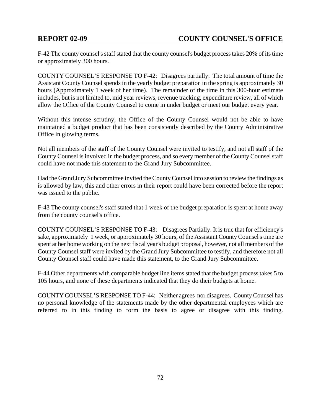F-42 The county counsel's staff stated that the county counsel's budget process takes 20% of its time or approximately 300 hours.

COUNTY COUNSEL'S RESPONSE TO F-42: Disagrees partially. The total amount of time the Assistant County Counsel spends in the yearly budget preparation in the spring is approximately 30 hours (Approximately 1 week of her time). The remainder of the time in this 300-hour estimate includes, but is not limited to, mid year reviews, revenue tracking, expenditure review, all of which allow the Office of the County Counsel to come in under budget or meet our budget every year.

Without this intense scrutiny, the Office of the County Counsel would not be able to have maintained a budget product that has been consistently described by the County Administrative Office in glowing terms.

Not all members of the staff of the County Counsel were invited to testify, and not all staff of the County Counsel is involved in the budget process, and so every member of the County Counsel staff could have not made this statement to the Grand Jury Subcommittee.

Had the Grand Jury Subcommittee invited the County Counsel into session to review the findings as is allowed by law, this and other errors in their report could have been corrected before the report was issued to the public.

F-43 The county counsel's staff stated that 1 week of the budget preparation is spent at home away from the county counsel's office.

COUNTY COUNSEL'S RESPONSE TO F-43: Disagrees Partially. It is true that for efficiency's sake, approximately 1 week, or approximately 30 hours, of the Assistant County Counsel's time are spent at her home working on the next fiscal year's budget proposal, however, not all members of the County Counsel staff were invited by the Grand Jury Subcommittee to testify, and therefore not all County Counsel staff could have made this statement, to the Grand Jury Subcommittee.

F-44 Other departments with comparable budget line items stated that the budget process takes 5 to 105 hours, and none of these departments indicated that they do their budgets at home.

COUNTY COUNSEL'S RESPONSE TO F-44: Neither agrees nor disagrees. County Counsel has no personal knowledge of the statements made by the other departmental employees which are referred to in this finding to form the basis to agree or disagree with this finding.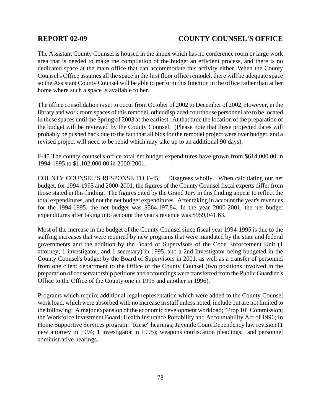The Assistant County Counsel is housed in the annex which has no conference room or large work area that is needed to make the compilation of the budget an efficient process, and there is no dedicated space at the main office that can accommodate this activity either. When the County Counsel's Office assumes all the space in the first floor office remodel, there will be adequate space so the Assistant County Counsel will be able to perform this function in the office rather than at her home where such a space is available to her.

The office consolidation is set to occur from October of 2002 to December of 2002, However, in the library and work room spaces of this remodel, other displaced courthouse personnel are to be located in these spaces until the Spring of 2003 at the earliest. At that time the location of the preparation of the budget will be reviewed by the County Counsel. (Please note that these projected dates will probably be pushed back due to the fact that all bids for the remodel project were over budget, and a revised project will need to be rebid which may take up to an additional 90 days).

F-45 The county counsel's office total net budget expenditures have grown from \$614,000.00 in 1994-1995 to \$1,102,000.00 in 2000-2001.

COUNTY COUNSEL'S RESPONSE TO F-45: Disagrees wholly. When calculating our net budget, for 1994-1995 and 2000-2001, the figures of the County Counsel fiscal experts differ from those stated in this finding. The figures cited by the Grand Jury in this finding appear to reflect the total expenditures, and not the net budget expenditures. After taking in account the year's revenues for the 1994-1995, the net budget was \$564,197.84. In the year 2000-2001, the net budget expenditures after taking into account the year's revenue was \$959,041.63.

Most of the increase in the budget of the County Counsel since fiscal year 1994-1995 is due to the staffing increases that were required by new programs that were mandated by the state and federal governments and the addition by the Board of Supervisors of the Code Enforcement Unit (1 attorney; 1 investigator; and 1 secretary) in 1995, and a 2nd Investigator being budgeted in the County Counsel's budget by the Board of Supervisors in 2001, as well as a transfer of personnel from one client department to the Office of the County Counsel (two positions involved in the preparation of conservatorship petitions and accountings were transferred from the Public Guardian's Office to the Office of the County one in 1995 and another in 1996).

Programs which require additional legal representation which were added to the County Counsel work load, which were absorbed with no increase in staff unless noted, include but are not limited to the following: A major expansion of the economic development workload; "Prop 10" Commission; the Workforce Investment Board; Health Insurance Portability and Accountability Act of 1996; In Home Supportive Services program; "Riese" hearings; Juvenile Court Dependency law revision (1 new attorney in 1994; 1 investigator in 1995); weapons confiscation pleadings; and personnel administrative hearings.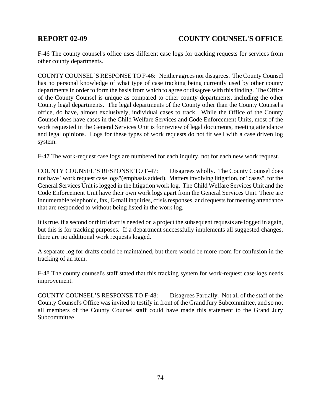F-46 The county counsel's office uses different case logs for tracking requests for services from other county departments.

COUNTY COUNSEL'S RESPONSE TO F-46: Neither agrees nor disagrees. The County Counsel has no personal knowledge of what type of case tracking being currently used by other county departments in order to form the basis from which to agree or disagree with this finding. The Office of the County Counsel is unique as compared to other county departments, including the other County legal departments. The legal departments of the County other than the County Counsel's office, do have, almost exclusively, individual cases to track. While the Office of the County Counsel does have cases in the Child Welfare Services and Code Enforcement Units, most of the work requested in the General Services Unit is for review of legal documents, meeting attendance and legal opinions. Logs for these types of work requests do not fit well with a case driven log system.

F-47 The work-request case logs are numbered for each inquiry, not for each new work request.

COUNTY COUNSEL'S RESPONSE TO F-47: Disagrees wholly. The County Counsel does not have "work request case logs"(emphasis added). Matters involving litigation, or "cases", for the General Services Unit is logged in the litigation work log. The Child Welfare Services Unit and the Code Enforcement Unit have their own work logs apart from the General Services Unit. There are innumerable telephonic, fax, E-mail inquiries, crisis responses, and requests for meeting attendance that are responded to without being listed in the work log.

It is true, if a second or third draft is needed on a project the subsequent requests are logged in again, but this is for tracking purposes. If a department successfully implements all suggested changes, there are no additional work requests logged.

A separate log for drafts could be maintained, but there would be more room for confusion in the tracking of an item.

F-48 The county counsel's staff stated that this tracking system for work-request case logs needs improvement.

COUNTY COUNSEL'S RESPONSE TO F-48: Disagrees Partially. Not all of the staff of the County Counsel's Office was invited to testify in front of the Grand Jury Subcommittee, and so not all members of the County Counsel staff could have made this statement to the Grand Jury Subcommittee.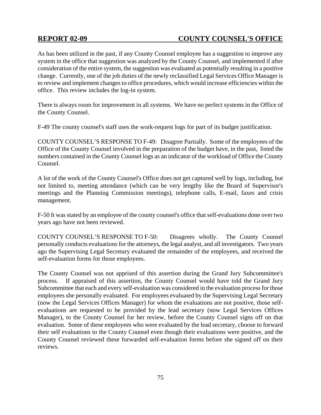As has been utilized in the past, if any County Counsel employee has a suggestion to improve any system in the office that suggestion was analyzed by the County Counsel, and implemented if after consideration of the entire system, the suggestion was evaluated as potentially resulting in a positive change. Currently, one of the job duties of the newly reclassified Legal Services Office Manager is to review and implement changes to office procedures, which would increase efficiencies within the office. This review includes the log-in system.

There is always room for improvement in all systems. We have no perfect systems in the Office of the County Counsel.

F-49 The county counsel's staff uses the work-request logs for part of its budget justification.

COUNTY COUNSEL'S RESPONSE TO F-49: Disagree Partially. Some of the employees of the Office of the County Counsel involved in the preparation of the budget have, in the past, listed the numbers contained in the County Counsel logs as an indicator of the workload of Office the County Counsel.

A lot of the work of the County Counsel's Office does not get captured well by logs, including, but not limited to, meeting attendance (which can be very lengthy like the Board of Supervisor's meetings and the Planning Commission meetings), telephone calls, E-mail, faxes and crisis management.

F-50 It was stated by an employee of the county counsel's office that self-evaluations done over two years ago have not been reviewed.

COUNTY COUNSEL'S RESPONSE TO F-50: Disagrees wholly. The County Counsel personally conducts evaluations for the attorneys, the legal analyst, and all investigators. Two years ago the Supervising Legal Secretary evaluated the remainder of the employees, and received the self-evaluation forms for those employees.

The County Counsel was not apprised of this assertion during the Grand Jury Subcommittee's process. If appraised of this assertion, the County Counsel would have told the Grand Jury Subcommittee that each and every self-evaluation was considered in the evaluation process for those employees she personally evaluated. For employees evaluated by the Supervising Legal Secretary (now the Legal Services Offices Manager) for whom the evaluations are not positive, those selfevaluations are requested to be provided by the lead secretary (now Legal Services Offices Manager), to the County Counsel for her review, before the County Counsel signs off on that evaluation. Some of these employees who were evaluated by the lead secretary, choose to forward their self evaluations to the County Counsel even though their evaluations were positive, and the County Counsel reviewed these forwarded self-evaluation forms before she signed off on their reviews.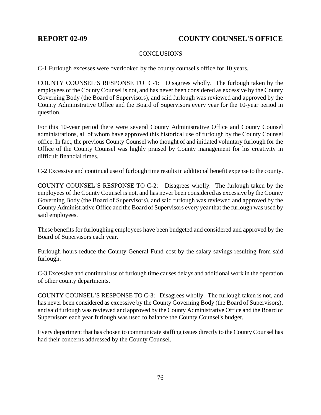### **CONCLUSIONS**

C-1 Furlough excesses were overlooked by the county counsel's office for 10 years.

COUNTY COUNSEL'S RESPONSE TO C-1: Disagrees wholly. The furlough taken by the employees of the County Counsel is not, and has never been considered as excessive by the County Governing Body (the Board of Supervisors), and said furlough was reviewed and approved by the County Administrative Office and the Board of Supervisors every year for the 10-year period in question.

For this 10-year period there were several County Administrative Office and County Counsel administrations, all of whom have approved this historical use of furlough by the County Counsel office. In fact, the previous County Counsel who thought of and initiated voluntary furlough for the Office of the County Counsel was highly praised by County management for his creativity in difficult financial times.

C-2 Excessive and continual use of furlough time results in additional benefit expense to the county.

COUNTY COUNSEL'S RESPONSE TO C-2: Disagrees wholly. The furlough taken by the employees of the County Counsel is not, and has never been considered as excessive by the County Governing Body (the Board of Supervisors), and said furlough was reviewed and approved by the County Administrative Office and the Board of Supervisors every year that the furlough was used by said employees.

These benefits for furloughing employees have been budgeted and considered and approved by the Board of Supervisors each year.

Furlough hours reduce the County General Fund cost by the salary savings resulting from said furlough.

C-3 Excessive and continual use of furlough time causes delays and additional work in the operation of other county departments.

COUNTY COUNSEL'S RESPONSE TO C-3: Disagrees wholly. The furlough taken is not, and has never been considered as excessive by the County Governing Body (the Board of Supervisors), and said furlough was reviewed and approved by the County Administrative Office and the Board of Supervisors each year furlough was used to balance the County Counsel's budget.

Every department that has chosen to communicate staffing issues directly to the County Counsel has had their concerns addressed by the County Counsel.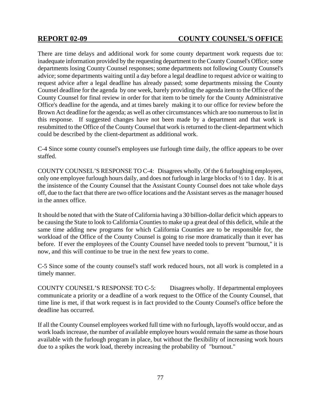There are time delays and additional work for some county department work requests due to: inadequate information provided by the requesting department to the County Counsel's Office; some departments losing County Counsel responses; some departments not following County Counsel's advice; some departments waiting until a day before a legal deadline to request advice or waiting to request advice after a legal deadline has already passed; some departments missing the County Counsel deadline for the agenda by one week, barely providing the agenda item to the Office of the County Counsel for final review in order for that item to be timely for the County Administrative Office's deadline for the agenda, and at times barely making it to our office for review before the Brown Act deadline for the agenda; as well as other circumstances which are too numerous to list in this response. If suggested changes have not been made by a department and that work is resubmitted to the Office of the County Counsel that work is returned to the client-department which could be described by the client-department as additional work.

C-4 Since some county counsel's employees use furlough time daily, the office appears to be over staffed.

COUNTY COUNSEL'S RESPONSE TO C-4: Disagrees wholly. Of the 6 furloughing employees, only one employee furlough hours daily, and does not furlough in large blocks of ½ to 1 day. It is at the insistence of the County Counsel that the Assistant County Counsel does not take whole days off, due to the fact that there are two office locations and the Assistant serves as the manager housed in the annex office.

It should be noted that with the State of California having a 30 billion-dollar deficit which appears to be causing the State to look to California Counties to make up a great deal of this deficit, while at the same time adding new programs for which California Counties are to be responsible for, the workload of the Office of the County Counsel is going to rise more dramatically than it ever has before. If ever the employees of the County Counsel have needed tools to prevent "burnout," it is now, and this will continue to be true in the next few years to come.

C-5 Since some of the county counsel's staff work reduced hours, not all work is completed in a timely manner.

COUNTY COUNSEL'S RESPONSE TO C-5: Disagrees wholly. If departmental employees communicate a priority or a deadline of a work request to the Office of the County Counsel, that time line is met, if that work request is in fact provided to the County Counsel's office before the deadline has occurred.

If all the County Counsel employees worked full time with no furlough, layoffs would occur, and as work loads increase, the number of available employee hours would remain the same as those hours available with the furlough program in place, but without the flexibility of increasing work hours due to a spikes the work load, thereby increasing the probability of "burnout."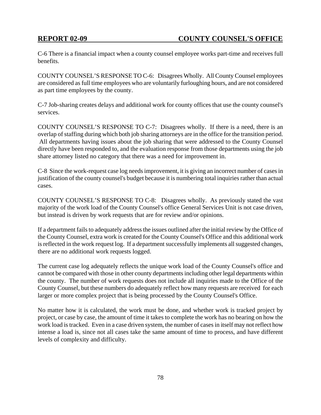C-6 There is a financial impact when a county counsel employee works part-time and receives full benefits.

COUNTY COUNSEL'S RESPONSE TO C-6: Disagrees Wholly. All County Counsel employees are considered as full time employees who are voluntarily furloughing hours, and are not considered as part time employees by the county.

C-7 Job-sharing creates delays and additional work for county offices that use the county counsel's services.

COUNTY COUNSEL'S RESPONSE TO C-7: Disagrees wholly. If there is a need, there is an overlap of staffing during which both job sharing attorneys are in the office for the transition period. All departments having issues about the job sharing that were addressed to the County Counsel directly have been responded to, and the evaluation response from those departments using the job share attorney listed no category that there was a need for improvement in.

C-8 Since the work-request case log needs improvement, it is giving an incorrect number of cases in justification of the county counsel's budget because it is numbering total inquiries rather than actual cases.

COUNTY COUNSEL'S RESPONSE TO C-8: Disagrees wholly. As previously stated the vast majority of the work load of the County Counsel's office General Services Unit is not case driven, but instead is driven by work requests that are for review and/or opinions.

If a department fails to adequately address the issues outlined after the initial review by the Office of the County Counsel, extra work is created for the County Counsel's Office and this additional work is reflected in the work request log. If a department successfully implements all suggested changes, there are no additional work requests logged.

The current case log adequately reflects the unique work load of the County Counsel's office and cannot be compared with those in other county departments including other legal departments within the county. The number of work requests does not include all inquiries made to the Office of the County Counsel, but these numbers do adequately reflect how many requests are received for each larger or more complex project that is being processed by the County Counsel's Office.

No matter how it is calculated, the work must be done, and whether work is tracked project by project, or case by case, the amount of time it takes to complete the work has no bearing on how the work load is tracked. Even in a case driven system, the number of cases in itself may not reflect how intense a load is, since not all cases take the same amount of time to process, and have different levels of complexity and difficulty.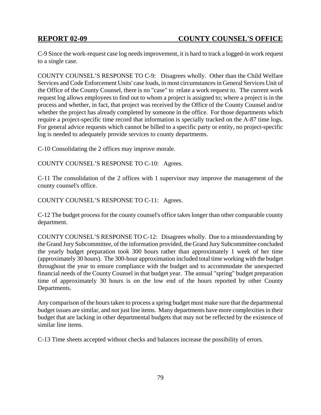C-9 Since the work-request case log needs improvement, it is hard to track a logged-in work request to a single case.

COUNTY COUNSEL'S RESPONSE TO C-9: Disagrees wholly. Other than the Child Welfare Services and Code Enforcement Units' case loads, in most circumstances in General Services Unit of the Office of the County Counsel, there is no "case" to relate a work request to. The current work request log allows employees to find out to whom a project is assigned to; where a project is in the process and whether, in fact, that project was received by the Office of the County Counsel and/or whether the project has already completed by someone in the office. For those departments which require a project-specific time record that information is specially tracked on the A-87 time logs. For general advice requests which cannot be billed to a specific party or entity, no project-specific log is needed to adequately provide services to county departments.

C-10 Consolidating the 2 offices may improve morale.

COUNTY COUNSEL'S RESPONSE TO C-10: Agrees.

C-11 The consolidation of the 2 offices with 1 supervisor may improve the management of the county counsel's office.

COUNTY COUNSEL'S RESPONSE TO C-11: Agrees.

C-12 The budget process for the county counsel's office takes longer than other comparable county department.

COUNTY COUNSEL'S RESPONSE TO C-12: Disagrees wholly. Due to a misunderstanding by the Grand Jury Subcommittee, of the information provided, the Grand Jury Subcommittee concluded the yearly budget preparation took 300 hours rather than approximately 1 week of her time (approximately 30 hours). The 300-hour approximation included total time working with the budget throughout the year to ensure compliance with the budget and to accommodate the unexpected financial needs of the County Counsel in that budget year. The annual "spring" budget preparation time of approximately 30 hours is on the low end of the hours reported by other County Departments.

Any comparison of the hours taken to process a spring budget must make sure that the departmental budget issues are similar, and not just line items. Many departments have more complexities in their budget that are lacking in other departmental budgets that may not be reflected by the existence of similar line items.

C-13 Time sheets accepted without checks and balances increase the possibility of errors.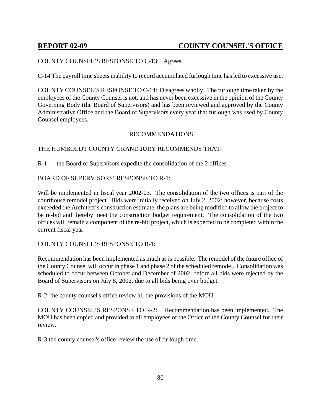#### COUNTY COUNSEL'S RESPONSE TO C-13: Agrees.

C-14 The payroll time sheets inability to record accumulated furlough time has led to excessive use.

COUNTY COUNSEL'S RESPONSE TO C-14: Disagrees wholly. The furlough time taken by the employees of the County Counsel is not, and has never been excessive in the opinion of the County Governing Body (the Board of Supervisors) and has been reviewed and approved by the County Administrative Office and the Board of Supervisors every year that furlough was used by County Counsel employees.

#### RECOMMENDATIONS

#### THE HUMBOLDT COUNTY GRAND JURY RECOMMENDS THAT:

R-1 the Board of Supervisors expedite the consolidation of the 2 offices

#### BOARD OF SUPERVISORS' RESPONSE TO R-1:

Will be implemented in fiscal year 2002-03. The consolidation of the two offices is part of the courthouse remodel project. Bids were initially received on July 2, 2002; however, because costs exceeded the Architect's construction estimate, the plans are being modified to allow the project to be re-bid and thereby meet the construction budget requirement. The consolidation of the two offices will remain a component of the re-bid project, which is expected to be completed within the current fiscal year.

#### COUNTY COUNSEL'S RESPONSE TO R-1:

Recommendation has been implemented as much as is possible. The remodel of the future office of the County Counsel will occur in phase 1 and phase 2 of the scheduled remodel. Consolidation was scheduled to occur between October and December of 2002, before all bids were rejected by the Board of Supervisors on July 8, 2002, due to all bids being over budget.

R-2 the county counsel's office review all the provisions of the MOU.

COUNTY COUNSEL'S RESPONSE TO R-2: Recommendation has been implemented. The MOU has been copied and provided to all employees of the Office of the County Counsel for their review.

R-3 the county counsel's office review the use of furlough time.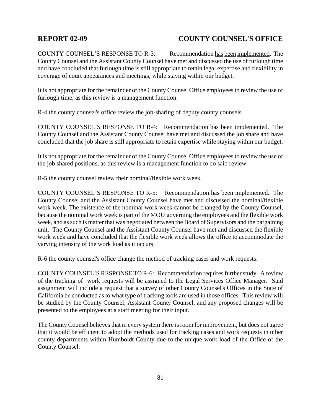COUNTY COUNSEL'S RESPONSE TO R-3: Recommendation has been implemented. The County Counsel and the Assistant County Counsel have met and discussed the use of furlough time and have concluded that furlough time is still appropriate to retain legal expertise and flexibility in coverage of court appearances and meetings, while staying within our budget.

It is not appropriate for the remainder of the County Counsel Office employees to review the use of furlough time, as this review is a management function.

R-4 the county counsel's office review the job-sharing of deputy county counsels.

COUNTY COUNSEL'S RESPONSE TO R-4: Recommendation has been implemented. The County Counsel and the Assistant County Counsel have met and discussed the job share and have concluded that the job share is still appropriate to retain expertise while staying within our budget.

It is not appropriate for the remainder of the County Counsel Office employees to review the use of the job shared positions, as this review is a management function to do said review.

R-5 the county counsel review their nominal/flexible work week.

COUNTY COUNSEL'S RESPONSE TO R-5: Recommendation has been implemented. The County Counsel and the Assistant County Counsel have met and discussed the nominal/flexible work week. The existence of the nominal work week cannot be changed by the County Counsel, because the nominal work week is part of the MOU governing the employees and the flexible work week, and as such is matter that was negotiated between the Board of Supervisors and the bargaining unit. The County Counsel and the Assistant County Counsel have met and discussed the flexible work week and have concluded that the flexible work week allows the office to accommodate the varying intensity of the work load as it occurs.

R-6 the county counsel's office change the method of tracking cases and work requests.

COUNTY COUNSEL'S RESPONSE TO R-6: Recommendation requires further study. A review of the tracking of work requests will be assigned to the Legal Services Office Manager. Said assignment will include a request that a survey of other County Counsel's Offices in the State of California be conducted as to what type of tracking tools are used in those offices. This review will be studied by the County Counsel, Assistant County Counsel, and any proposed changes will be presented to the employees at a staff meeting for their input.

The County Counsel believes that in every system there is room for improvement, but does not agree that it would be efficient to adopt the methods used for tracking cases and work requests in other county departments within Humboldt County due to the unique work load of the Office of the County Counsel.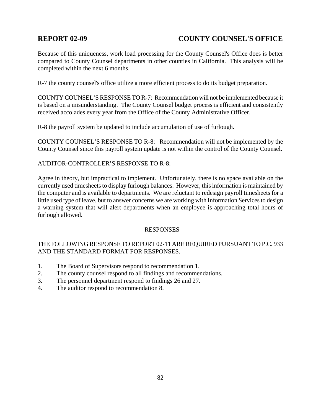Because of this uniqueness, work load processing for the County Counsel's Office does is better compared to County Counsel departments in other counties in California. This analysis will be completed within the next 6 months.

R-7 the county counsel's office utilize a more efficient process to do its budget preparation.

COUNTY COUNSEL'S RESPONSE TO R-7: Recommendation will not be implemented because it is based on a misunderstanding. The County Counsel budget process is efficient and consistently received accolades every year from the Office of the County Administrative Officer.

R-8 the payroll system be updated to include accumulation of use of furlough.

COUNTY COUNSEL'S RESPONSE TO R-8: Recommendation will not be implemented by the County Counsel since this payroll system update is not within the control of the County Counsel.

#### AUDITOR-CONTROLLER'S RESPONSE TO R-8:

Agree in theory, but impractical to implement. Unfortunately, there is no space available on the currently used timesheets to display furlough balances. However, this information is maintained by the computer and is available to departments. We are reluctant to redesign payroll timesheets for a little used type of leave, but to answer concerns we are working with Information Services to design a warning system that will alert departments when an employee is approaching total hours of furlough allowed.

#### **RESPONSES**

## THE FOLLOWING RESPONSE TO REPORT 02-11 ARE REQUIRED PURSUANT TO P.C. 933 AND THE STANDARD FORMAT FOR RESPONSES.

- 1. The Board of Supervisors respond to recommendation 1.
- 2. The county counsel respond to all findings and recommendations.
- 3. The personnel department respond to findings 26 and 27.
- 4. The auditor respond to recommendation 8.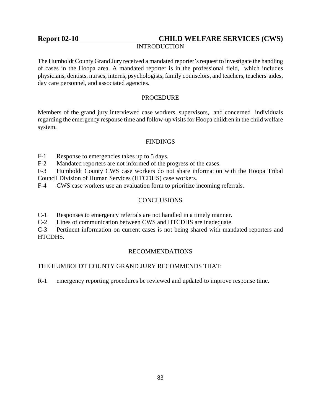# Report 02-10 **CHILD WELFARE SERVICES (CWS)**

### INTRODUCTION

The Humboldt County Grand Jury received a mandated reporter's request to investigate the handling of cases in the Hoopa area. A mandated reporter is in the professional field, which includes physicians, dentists, nurses, interns, psychologists, family counselors, and teachers, teachers' aides, day care personnel, and associated agencies.

#### PROCEDURE

Members of the grand jury interviewed case workers, supervisors, and concerned individuals regarding the emergency response time and follow-up visits for Hoopa children in the child welfare system.

### **FINDINGS**

F-1 Response to emergencies takes up to 5 days.

F-2 Mandated reporters are not informed of the progress of the cases.

F-3 Humboldt County CWS case workers do not share information with the Hoopa Tribal Council Division of Human Services (HTCDHS) case workers.

F-4 CWS case workers use an evaluation form to prioritize incoming referrals.

## **CONCLUSIONS**

C-1 Responses to emergency referrals are not handled in a timely manner.

C-2 Lines of communication between CWS and HTCDHS are inadequate.

C-3 Pertinent information on current cases is not being shared with mandated reporters and HTCDHS.

#### RECOMMENDATIONS

#### THE HUMBOLDT COUNTY GRAND JURY RECOMMENDS THAT:

R-1 emergency reporting procedures be reviewed and updated to improve response time.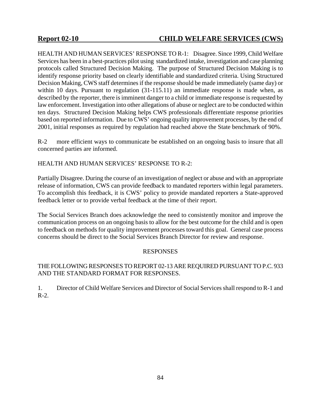## **Report 02-10 CHILD WELFARE SERVICES (CWS)**

HEALTH AND HUMAN SERVICES' RESPONSE TO R-1: Disagree. Since 1999, Child Welfare Services has been in a best-practices pilot using standardized intake, investigation and case planning protocols called Structured Decision Making. The purpose of Structured Decision Making is to identify response priority based on clearly identifiable and standardized criteria. Using Structured Decision Making, CWS staff determines if the response should be made immediately (same day) or within 10 days. Pursuant to regulation (31-115.11) an immediate response is made when, as described by the reporter, there is imminent danger to a child or immediate response is requested by law enforcement. Investigation into other allegations of abuse or neglect are to be conducted within ten days. Structured Decision Making helps CWS professionals differentiate response priorities based on reported information. Due to CWS' ongoing quality improvement processes, by the end of 2001, initial responses as required by regulation had reached above the State benchmark of 90%.

R-2 more efficient ways to communicate be established on an ongoing basis to insure that all concerned parties are informed.

## HEALTH AND HUMAN SERVICES' RESPONSE TO R-2:

Partially Disagree. During the course of an investigation of neglect or abuse and with an appropriate release of information, CWS can provide feedback to mandated reporters within legal parameters. To accomplish this feedback, it is CWS' policy to provide mandated reporters a State-approved feedback letter or to provide verbal feedback at the time of their report.

The Social Services Branch does acknowledge the need to consistently monitor and improve the communication process on an ongoing basis to allow for the best outcome for the child and is open to feedback on methods for quality improvement processes toward this goal. General case process concerns should be direct to the Social Services Branch Director for review and response.

#### RESPONSES

## THE FOLLOWING RESPONSES TO REPORT 02-13 ARE REQUIRED PURSUANT TO P.C. 933 AND THE STANDARD FORMAT FOR RESPONSES.

1. Director of Child Welfare Services and Director of Social Services shall respond to R-1 and R-2.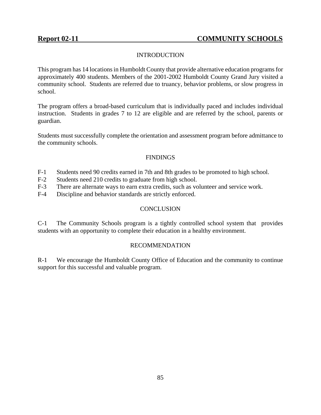## **INTRODUCTION**

This program has 14 locations in Humboldt County that provide alternative education programs for approximately 400 students. Members of the 2001-2002 Humboldt County Grand Jury visited a community school. Students are referred due to truancy, behavior problems, or slow progress in school.

The program offers a broad-based curriculum that is individually paced and includes individual instruction. Students in grades 7 to 12 are eligible and are referred by the school, parents or guardian.

Students must successfully complete the orientation and assessment program before admittance to the community schools.

### **FINDINGS**

- F-1 Students need 90 credits earned in 7th and 8th grades to be promoted to high school.
- F-2 Students need 210 credits to graduate from high school.
- F-3 There are alternate ways to earn extra credits, such as volunteer and service work.
- F-4 Discipline and behavior standards are strictly enforced.

#### **CONCLUSION**

C-1 The Community Schools program is a tightly controlled school system that provides students with an opportunity to complete their education in a healthy environment.

#### RECOMMENDATION

R-1 We encourage the Humboldt County Office of Education and the community to continue support for this successful and valuable program.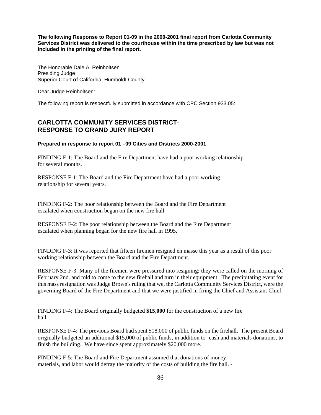**The following Response to Report 01-09 in the 2000-2001 final report from Carlotta Community Services District was delivered to the courthouse within the time prescribed by law but was not included in the printing of the final report.** 

The Honorable Dale A. Reinholtsen Presiding Judge Superior Court **of** California, Humboldt County

Dear Judge Reinholtsen:

The following report is respectfully submitted in accordance with CPC Section 933.05:

## **CARLOTTA COMMUNITY SERVICES DISTRICT**-**RESPONSE TO GRAND JURY REPORT**

#### **Prepared in response to report 01 –09 Cities and Districts 2000-2001**

FINDING F-1: The Board and the Fire Department have had a poor working relationship for several months.

RESPONSE F-1: The Board and the Fire Department have had a poor working relationship for several years.

FINDING F-2: The poor relationship between the Board and the Fire Department escalated when construction began on the new fire hall.

RESPONSE F-2: The poor relationship between the Board and the Fire Department escalated when planning began for the new fire hall in 1995.

FINDING F-3: It was reported that fifteen firemen resigned en masse this year as a result of this poor working relationship between the Board and the Fire Department.

RESPONSE F-3: Many of the firemen were pressured into resigning; they were called on the morning of February 2nd. and told to come to the new firehall and turn in their equipment. The precipitating event for this mass resignation was Judge Brown's ruling that we, the Carlotta Community Services District, were the governing Board of the Fire Department and that we were justified in firing the Chief and Assistant Chief.

FINDING F-4: The Board originally budgeted **\$15,000** for the construction of a new fire hall.

RESPONSE F-4: The previous Board had spent \$18,000 of public funds on the firehall. The present Board originally budgeted an additional \$15,000 of public funds, in addition to- cash and materials donations, to finish the building. We have since spent approximately \$20,000 more.

FINDING F-5: The Board and Fire Department assumed that donations of money, materials, and labor would defray the majority of the costs of building the fire hall. -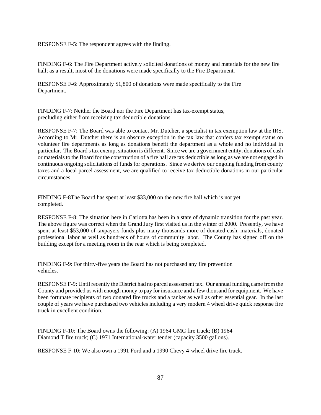RESPONSE F-5: The respondent agrees with the finding.

FINDING F-6: The Fire Department actively solicited donations of money and materials for the new fire hall; as a result, most of the donations were made specifically to the Fire Department.

RESPONSE F-6: Approximately \$1,800 of donations were made specifically to the Fire Department.

FINDING F-7: Neither the Board nor the Fire Department has tax-exempt status, precluding either from receiving tax deductible donations.

RESPONSE F-7: The Board was able to contact Mr. Dutcher, a specialist in tax exemption law at the IRS. According to Mr. Dutcher there is an obscure exception in the tax law that confers tax exempt status on volunteer fire departments as long as donations benefit the department as a whole and no individual in particular. The Board's tax exempt situation is different. Since we are a government entity, donations of cash or materials to the Board for the construction of a fire hall are tax deductible as long as we are not engaged in continuous ongoing solicitations of funds for operations. Since we derive our ongoing funding from county taxes and a local parcel assessment, we are qualified to receive tax deductible donations in our particular circumstances.

FINDING F-8The Board has spent at least \$33,000 on the new fire hall which is not yet completed.

RESPONSE F-8: The situation here in Carlotta has been in a state of dynamic transition for the past year. The above figure was correct when the Grand Jury first visited us in the winter of 2000. Presently, we have spent at least \$53,000 of taxpayers funds plus many thousands more of donated cash, materials, donated professional labor as well as hundreds of hours of community labor. The County has signed off on the building except for a meeting room in the rear which is being completed.

FINDING F-9: For thirty-five years the Board has not purchased any fire prevention vehicles.

RESPONSE F-9: Until recently the District had no parcel assessment tax. Our annual funding came from the County and provided us with enough money to pay for insurance and a few thousand for equipment. We have been fortunate recipients of two donated fire trucks and a tanker as well as other essential gear. In the last couple of years we have purchased two vehicles including a very modern 4 wheel drive quick response fire truck in excellent condition.

FINDING F-10: The Board owns the following: (A) 1964 GMC fire truck; (B) 1964 Diamond T fire truck; (C) 1971 International-water tender (capacity 3500 gallons).

RESPONSE F-10: We also own a 1991 Ford and a 1990 Chevy 4-wheel drive fire truck.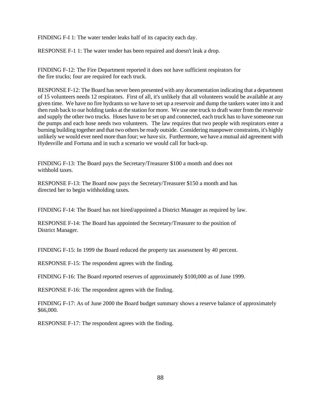FINDING F-I 1: The water tender leaks half of its capacity each day.

RESPONSE F-1 1: The water tender has been repaired and doesn't leak a drop.

FINDING F-12: The Fire Department reported it does not have sufficient respirators for the fire trucks; four are required for each truck.

RESPONSE F-12: The Board has never been presented with any documentation indicating that a department of 15 volunteers needs 12 respirators. First of all, it's unlikely that all volunteers would be available at any given time. We have no fire hydrants so we have to set up a reservoir and dump the tankers water into it and then rush back to our holding tanks at the station for more. We use one truck to draft water from the reservoir and supply the other two trucks. Hoses have to be set up and connected, each truck has to have someone run the pumps and each hose needs two volunteers. The law requires that two people with respirators enter a burning building together and that two others be ready outside. Considering manpower constraints, it's highly unlikely we would ever need more than four; we have six. Furthermore, we have a mutual aid agreement with Hydesville and Fortuna and in such a scenario we would call for back-up.

FINDING F-13: The Board pays the Secretary/Treasurer \$100 a month and does not withhold taxes.

RESPONSE F-13: The Board now pays the Secretary/Treasurer \$150 a month and has directed her to begin withholding taxes.

FINDING F-14: The Board has not hired/appointed a District Manager as required by law.

RESPONSE F-14: The Board has appointed the Secretary/Treasurer to the position of District Manager.

FINDING F-15: In 1999 the Board reduced the property tax assessment by 40 percent.

RESPONSE F-15: The respondent agrees with the finding.

FINDING F-16: The Board reported reserves of approximately \$100,000 as of June 1999.

RESPONSE F-16: The respondent agrees with the finding.

FINDING F-17: As of June 2000 the Board budget summary shows a reserve balance of approximately \$66,000.

RESPONSE F-17: The respondent agrees with the finding.